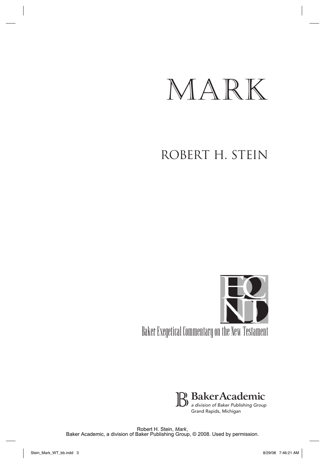# Mark

## ROBERT H. STEIN



Baker Exegetical Commentary on the New Testament



Robert H. Stein, *Mark*, Baker Academic, a division of Baker Publishing Group, © 2008. Used by permission.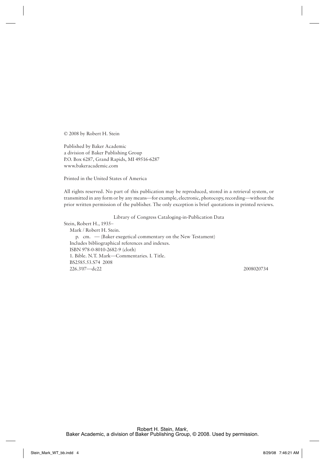© 2008 by Robert H. Stein

Published by Baker Academic a division of Baker Publishing Group P.O. Box 6287, Grand Rapids, MI 49516-6287 www.bakeracademic.com

Printed in the United States of America

All rights reserved. No part of this publication may be reproduced, stored in a retrieval system, or transmitted in any form or by any means—for example, electronic, photocopy, recording—without the prior written permission of the publisher. The only exception is brief quotations in printed reviews.

Library of Congress Cataloging-in-Publication Data Stein, Robert H., 1935– Mark / Robert H. Stein. p. cm. — (Baker exegetical commentary on the New Testament) Includes bibliographical references and indexes. ISBN 978-0-8010-2682-9 (cloth) 1. Bible. N.T. Mark—Commentaries. I. Title. BS2585.53.S74 2008 226.3 07—dc22 2008020734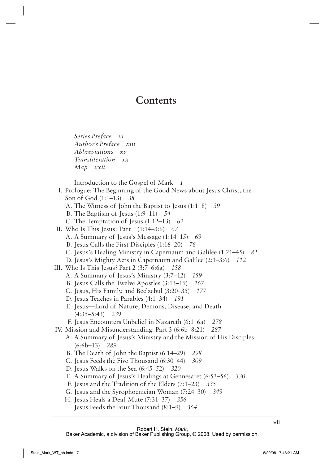## **Contents**

*Series Preface xi Author's Preface xiii Abbreviations xv Transliteration xx Map xxii* Introduction to the Gospel of Mark *1* I. Prologue: The Beginning of the Good News about Jesus Christ, the Son of God (1:1–13) *38* A. The Witness of John the Baptist to Jesus (1:1–8) *39* B. The Baptism of Jesus (1:9–11) *54* C. The Temptation of Jesus (1:12–13) *62* II. Who Is This Jesus? Part 1 (1:14–3:6) *67* A. A Summary of Jesus's Message (1:14–15) *69* B. Jesus Calls the First Disciples (1:16–20) *76* C. Jesus's Healing Ministry in Capernaum and Galilee (1:21–45) *82* D. Jesus's Mighty Acts in Capernaum and Galilee (2:1–3:6) *112* III. Who Is This Jesus? Part 2 (3:7–6:6a) *158* A. A Summary of Jesus's Ministry (3:7–12) *159* B. Jesus Calls the Twelve Apostles (3:13–19) *167* C. Jesus, His Family, and Beelzebul (3:20–35) *177* D. Jesus Teaches in Parables (4:1–34) *191* E. Jesus—Lord of Nature, Demons, Disease, and Death (4:35–5:43) *239* F. Jesus Encounters Unbelief in Nazareth (6:1–6a) *278* IV. Mission and Misunderstanding: Part 3 (6:6b–8:21) *287* A. A Summary of Jesus's Ministry and the Mission of His Disciples (6:6b–13) *289* B. The Death of John the Baptist (6:14–29) *298* C. Jesus Feeds the Five Thousand (6:30–44) *309* D. Jesus Walks on the Sea (6:45–52) *320* E. A Summary of Jesus's Healings at Gennesaret (6:53–56) *330* F. Jesus and the Tradition of the Elders (7:1–23) *335* G. Jesus and the Syrophoenician Woman (7:24–30) *349* H. Jesus Heals a Deaf Mute (7:31–37) *356* I. Jesus Feeds the Four Thousand (8:1–9) *364*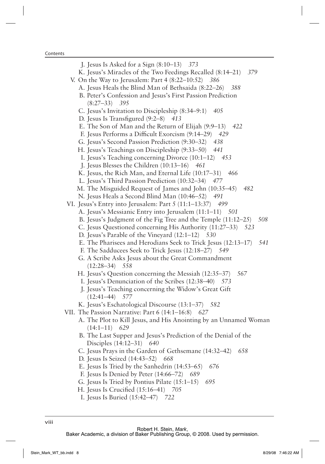- J. Jesus Is Asked for a Sign (8:10–13) *373* K. Jesus's Miracles of the Two Feedings Recalled (8:14–21) *379* V. On the Way to Jerusalem: Part 4 (8:22–10:52) *386* A. Jesus Heals the Blind Man of Bethsaida (8:22–26) *388* B. Peter's Confession and Jesus's First Passion Prediction (8:27–33) *395* C. Jesus's Invitation to Discipleship (8:34–9:1) *405* D. Jesus Is Transfigured (9:2–8) *413* E. The Son of Man and the Return of Elijah (9:9–13) *422* F. Jesus Performs a Difficult Exorcism (9:14–29) *429* G. Jesus's Second Passion Prediction (9:30–32) *438* H. Jesus's Teachings on Discipleship (9:33–50) *441* I. Jesus's Teaching concerning Divorce (10:1–12) *453* J. Jesus Blesses the Children (10:13–16) *461* K. Jesus, the Rich Man, and Eternal Life (10:17–31) *466* L. Jesus's Third Passion Prediction (10:32–34) *477* M. The Misguided Request of James and John (10:35–45) *482* N. Jesus Heals a Second Blind Man (10:46–52) *491* VI. Jesus's Entry into Jerusalem: Part 5 (11:1–13:37) *499* A. Jesus's Messianic Entry into Jerusalem (11:1–11) *501* B. Jesus's Judgment of the Fig Tree and the Temple (11:12–25) *508* C. Jesus Questioned concerning His Authority (11:27–33) *523* D. Jesus's Parable of the Vineyard (12:1–12) *530* E. The Pharisees and Herodians Seek to Trick Jesus (12:13–17) *541* F. The Sadducees Seek to Trick Jesus (12:18–27) *549* G. A Scribe Asks Jesus about the Great Commandment (12:28–34) *558* H. Jesus's Question concerning the Messiah (12:35–37) *567* I. Jesus's Denunciation of the Scribes (12:38–40) *573* J. Jesus's Teaching concerning the Widow's Great Gift (12:41–44) *577* K. Jesus's Eschatological Discourse (13:1–37) *582* VII. The Passion Narrative: Part 6 (14:1–16:8) *627* A. The Plot to Kill Jesus, and His Anointing by an Unnamed Woman (14:1–11) *629* B. The Last Supper and Jesus's Prediction of the Denial of the Disciples (14:12–31) *640* C. Jesus Prays in the Garden of Gethsemane (14:32–42) *658* D. Jesus Is Seized (14:43–52) *668* E. Jesus Is Tried by the Sanhedrin (14:53–65) *676* F. Jesus Is Denied by Peter (14:66–72) *689* G. Jesus Is Tried by Pontius Pilate (15:1–15) *695* H. Jesus Is Crucified (15:16–41) *705*
	- I. Jesus Is Buried (15:42–47) *722*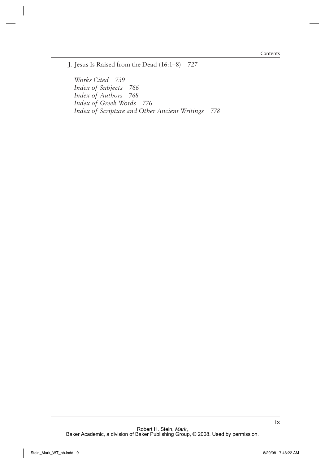J. Jesus Is Raised from the Dead (16:1–8) *727*

 *Works Cited 739 Index of Subjects 766 Index of Authors 768 Index of Greek Words 776 Index of Scripture and Other Ancient Writings 778*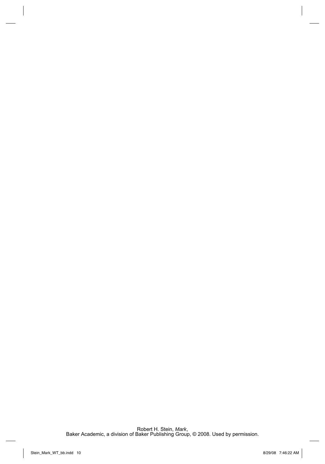Robert H. Stein, *Mark*, Baker Academic, a division of Baker Publishing Group, © 2008. Used by permission.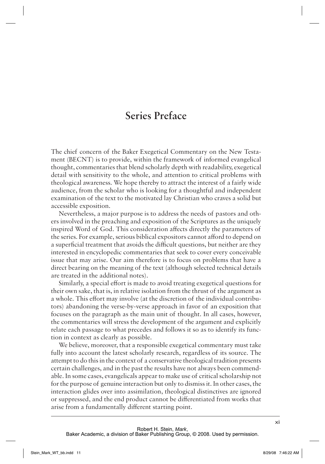## **Series Preface**

The chief concern of the Baker Exegetical Commentary on the New Testament (BECNT) is to provide, within the framework of informed evangelical thought, commentaries that blend scholarly depth with readability, exegetical detail with sensitivity to the whole, and attention to critical problems with theological awareness. We hope thereby to attract the interest of a fairly wide audience, from the scholar who is looking for a thoughtful and independent examination of the text to the motivated lay Christian who craves a solid but accessible exposition.

Nevertheless, a major purpose is to address the needs of pastors and others involved in the preaching and exposition of the Scriptures as the uniquely inspired Word of God. This consideration affects directly the parameters of the series. For example, serious biblical expositors cannot afford to depend on a superficial treatment that avoids the difficult questions, but neither are they interested in encyclopedic commentaries that seek to cover every conceivable issue that may arise. Our aim therefore is to focus on problems that have a direct bearing on the meaning of the text (although selected technical details are treated in the additional notes).

Similarly, a special effort is made to avoid treating exegetical questions for their own sake, that is, in relative isolation from the thrust of the argument as a whole. This effort may involve (at the discretion of the individual contributors) abandoning the verse-by-verse approach in favor of an exposition that focuses on the paragraph as the main unit of thought. In all cases, however, the commentaries will stress the development of the argument and explicitly relate each passage to what precedes and follows it so as to identify its function in context as clearly as possible.

We believe, moreover, that a responsible exegetical commentary must take fully into account the latest scholarly research, regardless of its source. The attempt to do this in the context of a conservative theological tradition presents certain challenges, and in the past the results have not always been commendable. In some cases, evangelicals appear to make use of critical scholarship not for the purpose of genuine interaction but only to dismiss it. In other cases, the interaction glides over into assimilation, theological distinctives are ignored or suppressed, and the end product cannot be differentiated from works that arise from a fundamentally different starting point.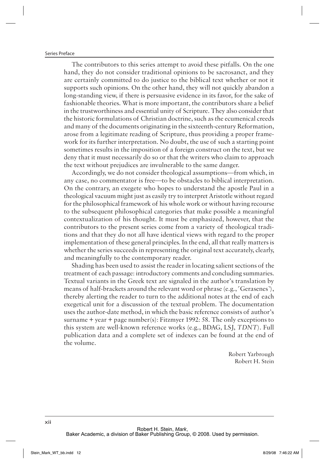The contributors to this series attempt to avoid these pitfalls. On the one hand, they do not consider traditional opinions to be sacrosanct, and they are certainly committed to do justice to the biblical text whether or not it supports such opinions. On the other hand, they will not quickly abandon a long-standing view, if there is persuasive evidence in its favor, for the sake of fashionable theories. What is more important, the contributors share a belief in the trustworthiness and essential unity of Scripture. They also consider that the historic formulations of Christian doctrine, such as the ecumenical creeds and many of the documents originating in the sixteenth-century Reformation, arose from a legitimate reading of Scripture, thus providing a proper framework for its further interpretation. No doubt, the use of such a starting point sometimes results in the imposition of a foreign construct on the text, but we deny that it must necessarily do so or that the writers who claim to approach the text without prejudices are invulnerable to the same danger.

Accordingly, we do not consider theological assumptions—from which, in any case, no commentator is free—to be obstacles to biblical interpretation. On the contrary, an exegete who hopes to understand the apostle Paul in a theological vacuum might just as easily try to interpret Aristotle without regard for the philosophical framework of his whole work or without having recourse to the subsequent philosophical categories that make possible a meaningful contextualization of his thought. It must be emphasized, however, that the contributors to the present series come from a variety of theological traditions and that they do not all have identical views with regard to the proper implementation of these general principles. In the end, all that really matters is whether the series succeeds in representing the original text accurately, clearly, and meaningfully to the contemporary reader.

Shading has been used to assist the reader in locating salient sections of the treatment of each passage: introductory comments and concluding summaries. Textual variants in the Greek text are signaled in the author's translation by means of half-brackets around the relevant word or phrase (e.g., <sup>r</sup>Gerasenes<sup>-</sup>), thereby alerting the reader to turn to the additional notes at the end of each exegetical unit for a discussion of the textual problem. The documentation uses the author-date method, in which the basic reference consists of author's surname  $+$  year  $+$  page number(s): Fitzmyer 1992: 58. The only exceptions to this system are well-known reference works (e.g., BDAG, LSJ, *TDNT*). Full publication data and a complete set of indexes can be found at the end of the volume.

> Robert Yarbrough Robert H. Stein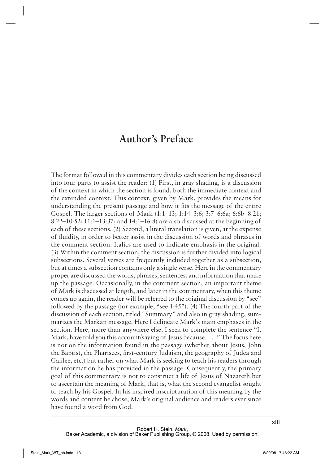## **Author's Preface**

The format followed in this commentary divides each section being discussed into four parts to assist the reader: (1) First, in gray shading, is a discussion of the context in which the section is found, both the immediate context and the extended context. This context, given by Mark, provides the means for understanding the present passage and how it fits the message of the entire Gospel. The larger sections of Mark (1:1–13; 1:14–3:6; 3:7–6:6a; 6:6b–8:21; 8:22–10:52; 11:1–13:37; and 14:1–16:8) are also discussed at the beginning of each of these sections. (2) Second, a literal translation is given, at the expense of fluidity, in order to better assist in the discussion of words and phrases in the comment section. Italics are used to indicate emphasis in the original. (3) Within the comment section, the discussion is further divided into logical subsections. Several verses are frequently included together as a subsection, but at times a subsection contains only a single verse. Here in the commentary proper are discussed the words, phrases, sentences, and information that make up the passage. Occasionally, in the comment section, an important theme of Mark is discussed at length, and later in the commentary, when this theme comes up again, the reader will be referred to the original discussion by "see" followed by the passage (for example, "see 1:45"). (4) The fourth part of the discussion of each section, titled "Summary" and also in gray shading, summarizes the Markan message. Here I delineate Mark's main emphases in the section. Here, more than anywhere else, I seek to complete the sentence "I, Mark, have told you this account/saying of Jesus because. . . ." The focus here is not on the information found in the passage (whether about Jesus, John the Baptist, the Pharisees, first-century Judaism, the geography of Judea and Galilee, etc.) but rather on what Mark is seeking to teach his readers through the information he has provided in the passage. Consequently, the primary goal of this commentary is not to construct a life of Jesus of Nazareth but to ascertain the meaning of Mark, that is, what the second evangelist sought to teach by his Gospel. In his inspired inscripturation of this meaning by the words and content he chose, Mark's original audience and readers ever since have found a word from God.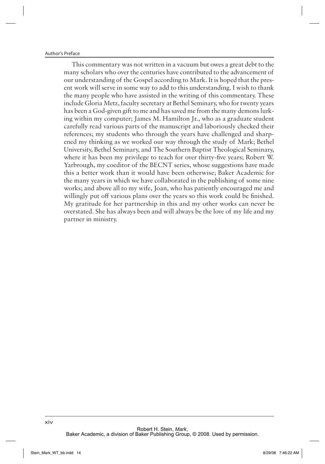This commentary was not written in a vacuum but owes a great debt to the many scholars who over the centuries have contributed to the advancement of our understanding of the Gospel according to Mark. It is hoped that the present work will serve in some way to add to this understanding. I wish to thank the many people who have assisted in the writing of this commentary. These include Gloria Metz, faculty secretary at Bethel Seminary, who for twenty years has been a God-given gift to me and has saved me from the many demons lurking within my computer; James M. Hamilton Jr., who as a graduate student carefully read various parts of the manuscript and laboriously checked their references; my students who through the years have challenged and sharpened my thinking as we worked our way through the study of Mark; Bethel University, Bethel Seminary, and The Southern Baptist Theological Seminary, where it has been my privilege to teach for over thirty-five years; Robert W. Yarbrough, my coeditor of the BECNT series, whose suggestions have made this a better work than it would have been otherwise; Baker Academic for the many years in which we have collaborated in the publishing of some nine works; and above all to my wife, Joan, who has patiently encouraged me and willingly put off various plans over the years so this work could be finished. My gratitude for her partnership in this and my other works can never be overstated. She has always been and will always be the love of my life and my partner in ministry.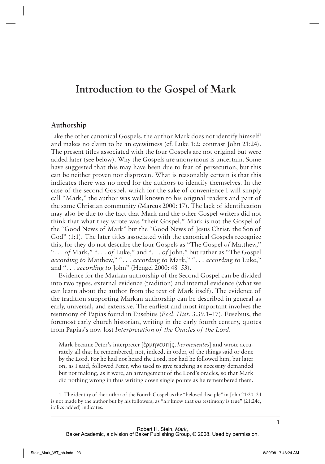## **Introduction to the Gospel of Mark**

#### **Authorship**

Like the other canonical Gospels, the author Mark does not identify himself<sup>1</sup> and makes no claim to be an eyewitness (cf. Luke 1:2; contrast John 21:24). The present titles associated with the four Gospels are not original but were added later (see below). Why the Gospels are anonymous is uncertain. Some have suggested that this may have been due to fear of persecution, but this can be neither proven nor disproven. What is reasonably certain is that this indicates there was no need for the authors to identify themselves. In the case of the second Gospel, which for the sake of convenience I will simply call "Mark," the author was well known to his original readers and part of the same Christian community (Marcus 2000: 17). The lack of identification may also be due to the fact that Mark and the other Gospel writers did not think that what they wrote was "their Gospel." Mark is not the Gospel of the "Good News of Mark" but the "Good News of Jesus Christ, the Son of God" (1:1). The later titles associated with the canonical Gospels recognize this, for they do not describe the four Gospels as "The Gospel *of* Matthew," ". . . *of* Mark," ". . . *of* Luke," and ". . . *of* John," but rather as "The Gospel *according to* Matthew," ". . . *according to* Mark," ". . . *according to* Luke," and ". . . *according to* John" (Hengel 2000: 48–53).

Evidence for the Markan authorship of the Second Gospel can be divided into two types, external evidence (tradition) and internal evidence (what we can learn about the author from the text of Mark itself). The evidence of the tradition supporting Markan authorship can be described in general as early, universal, and extensive. The earliest and most important involves the testimony of Papias found in Eusebius (*Eccl. Hist.* 3.39.1–17). Eusebius, the foremost early church historian, writing in the early fourth century, quotes from Papias's now lost *Interpretation of the Oracles of the Lord*.

Mark became Peter's interpreter [ἑρμηνευτής, *hermēneutēs*] and wrote accurately all that he remembered, not, indeed, in order, of the things said or done by the Lord. For he had not heard the Lord, nor had he followed him, but later on, as I said, followed Peter, who used to give teaching as necessity demanded but not making, as it were, an arrangement of the Lord's oracles, so that Mark did nothing wrong in thus writing down single points as he remembered them.

1. The identity of the author of the Fourth Gospel as the "beloved disciple" in John 21:20–24 is not made by the author but by his followers, as "*we* know that *his* testimony is true" (21:24c, italics added) indicates.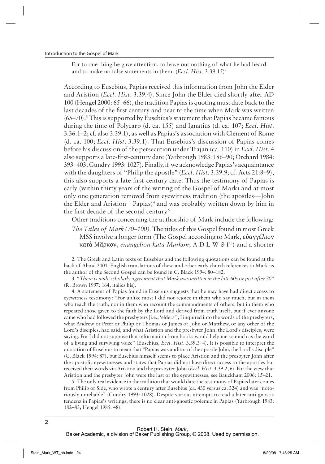For to one thing he gave attention, to leave out nothing of what he had heard and to make no false statements in them. (*Eccl. Hist.* 3.39.15)2

According to Eusebius, Papias received this information from John the Elder and Aristion (*Eccl. Hist.* 3.39.4). Since John the Elder died shortly after AD 100 (Hengel 2000: 65–66), the tradition Papias is quoting must date back to the last decades of the first century and near to the time when Mark was written (65–70).3 This is supported by Eusebius's statement that Papias became famous during the time of Polycarp (d. ca. 155) and Ignatius (d. ca. 107; *Eccl. Hist.*  3.36.1–2; cf. also 3.39.1), as well as Papias's association with Clement of Rome (d. ca. 100; *Eccl. Hist.* 3.39.1). That Eusebius's discussion of Papias comes before his discussion of the persecution under Trajan (ca. 110) in *Eccl. Hist.* 4 also supports a late-first-century date (Yarbrough 1983: 186–90; Orchard 1984: 393–403; Gundry 1993: 1027). Finally, if we acknowledge Papias's acquaintance with the daughters of "Philip the apostle" (*Eccl. Hist.* 3.39.9; cf. Acts 21:8–9), this also supports a late-first-century date. Thus the testimony of Papias is early (within thirty years of the writing of the Gospel of Mark) and at most only one generation removed from eyewitness tradition (the apostles—John the Elder and Aristion—Papias)<sup>4</sup> and was probably written down by him in the first decade of the second century.<sup>5</sup>

Other traditions concerning the authorship of Mark include the following:

*The Titles of Mark (70–100).* The titles of this Gospel found in most Greek MSS involve a longer form (The Gospel according to Mark, εὐαγγέλιον κατὰ Μᾶρκον, *euangelion kata Markon*; A D L W Θ f13) and a shorter

2. The Greek and Latin texts of Eusebius and the following quotations can be found at the back of Aland 2001. English translations of these and other early church references to Mark as the author of the Second Gospel can be found in C. Black 1994: 80–182.

3. "*There is wide scholarly agreement that Mark was written in the late 60s or just after 70*" (R. Brown 1997: 164, italics his).

4. A statement of Papias found in Eusebius suggests that he may have had direct access to eyewitness testimony: "For unlike most I did not rejoice in them who say much, but in them who teach the truth, nor in them who recount the commandments of others, but in them who repeated those given to the faith by the Lord and derived from truth itself; but if ever anyone came who had followed the presbyters [i.e., 'elders'], I inquired into the words of the presbyters, what Andrew or Peter or Philip or Thomas or James or John or Matthew, or any other of the Lord's disciples, had said, and what Aristion and the presbyter John, the Lord's disciples, were saying. For I did not suppose that information from books would help me so much as the word of a living and surviving voice" (Eusebius, *Eccl. Hist.* 3.39.3–4). It is possible to interpret the quotation of Eusebius to mean that "Papias was auditor of the apostle John, the Lord's disciple" (C. Black 1994: 87), but Eusebius himself seems to place Aristion and the presbyter John after the apostolic eyewitnesses and states that Papias did not have direct access to the apostles but received their words via Aristion and the presbyter John (*Eccl. Hist.* 3.39.2, 6). For the view that Aristion and the presbyter John were the last of the eyewitnesses, see Bauckham 2006: 15–21.

5. The only real evidence in the tradition that would date the testimony of Papias later comes from Philip of Side, who wrote a century after Eusebius (ca. 430 versus ca. 324) and was "notoriously unreliable" (Gundry 1993: 1028). Despite various attempts to read a later anti-gnostic tendenz in Papias's writings, there is no clear anti-gnostic polemic in Papias (Yarbrough 1983: 182–83; Hengel 1985: 48).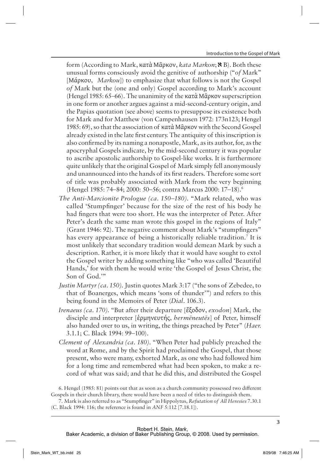form (According to Mark, κατὰ Μᾶρκον, *kata Markon*; **N** B). Both these unusual forms consciously avoid the genitive of authorship ("*of* Mark" [Μάρκου, *Markou*]) to emphasize that what follows is not the Gospel *of* Mark but the (one and only) Gospel according to Mark's account (Hengel 1985: 65–66). The unanimity of the κατὰ Μᾶρκον superscription in one form or another argues against a mid-second-century origin, and the Papias quotation (see above) seems to presuppose its existence both for Mark and for Matthew (von Campenhausen 1972: 173n123; Hengel 1985: 69), so that the association of κατὰ Μᾶρκον with the Second Gospel already existed in the late first century. The antiquity of this inscription is also confirmed by its naming a nonapostle, Mark, as its author, for, as the apocryphal Gospels indicate, by the mid-second century it was popular to ascribe apostolic authorship to Gospel-like works. It is furthermore quite unlikely that the original Gospel of Mark simply fell anonymously and unannounced into the hands of its first readers. Therefore some sort of title was probably associated with Mark from the very beginning (Hengel 1985: 74–84; 2000: 50–56; contra Marcus 2000: 17–18).6

- *The Anti-Marcionite Prologue (ca. 150–180)*. "Mark related, who was called 'Stumpfinger' because for the size of the rest of his body he had fingers that were too short. He was the interpreter of Peter. After Peter's death the same man wrote this gospel in the regions of Italy" (Grant 1946: 92). The negative comment about Mark's "stumpfingers" has every appearance of being a historically reliable tradition.<sup>7</sup> It is most unlikely that secondary tradition would demean Mark by such a description. Rather, it is more likely that it would have sought to extol the Gospel writer by adding something like "who was called 'Beautiful Hands,' for with them he would write 'the Gospel of Jesus Christ, the Son of God.'"
- *Justin Martyr (ca. 150)*. Justin quotes Mark 3:17 ("the sons of Zebedee, to that of Boanerges, which means 'sons of thunder'") and refers to this being found in the Memoirs of Peter (*Dial.* 106.3).
- *Irenaeus (ca. 170)*. "But after their departure [ἔξοδον, *exodon*] Mark, the disciple and interpreter [ἑρμηνευτής, *hermēneutēs*] of Peter, himself also handed over to us, in writing, the things preached by Peter" (*Haer.* 3.1.1; C. Black 1994: 99–100).
- *Clement of Alexandria (ca. 180).* "When Peter had publicly preached the word at Rome, and by the Spirit had proclaimed the Gospel, that those present, who were many, exhorted Mark, as one who had followed him for a long time and remembered what had been spoken, to make a record of what was said; and that he did this, and distributed the Gospel
- 6. Hengel (1985: 81) points out that as soon as a church community possessed two different Gospels in their church library, there would have been a need of titles to distinguish them.
- 7. Mark is also referred to as "Stumpfinger" in Hippolytus, *Refutation of All Heresies* 7.30.1 (C. Black 1994: 116; the reference is found in *ANF* 5:112 [7.18.1]).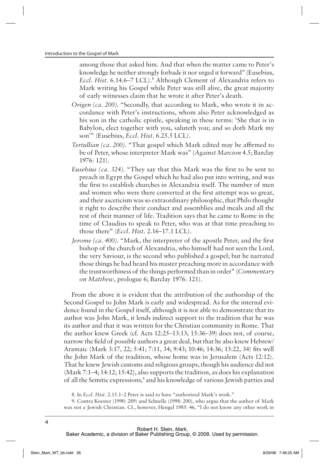among those that asked him. And that when the matter came to Peter's knowledge he neither strongly forbade it nor urged it forward" (Eusebius, Eccl. Hist. 6.14.6-7 LCL).<sup>8</sup> Although Clement of Alexandria refers to Mark writing his Gospel while Peter was still alive, the great majority of early witnesses claim that he wrote it after Peter's death.

- *Origen (ca. 200)*. "Secondly, that according to Mark, who wrote it in accordance with Peter's instructions, whom also Peter acknowledged as his son in the catholic epistle, speaking in these terms: 'She that is in Babylon, elect together with you, saluteth you; and so doth Mark my son'" (Eusebius, *Eccl. Hist.* 6.25.5 LCL).
- *Tertullian (ca. 200)*. "That gospel which Mark edited may be affirmed to be of Peter, whose interpreter Mark was" (*Against Marcion* 4.5; Barclay 1976: 121).
- *Eusebius (ca. 324)*. "They say that this Mark was the first to be sent to preach in Egypt the Gospel which he had also put into writing, and was the first to establish churches in Alexandria itself. The number of men and women who were there converted at the first attempt was so great, and their asceticism was so extraordinary philosophic, that Philo thought it right to describe their conduct and assemblies and meals and all the rest of their manner of life. Tradition says that he came to Rome in the time of Claudius to speak to Peter, who was at that time preaching to those there" (*Eccl. Hist*. 2.16–17.1 LCL).
- *Jerome (ca. 400)*. "Mark, the interpreter of the apostle Peter, and the first bishop of the church of Alexandria, who himself had not seen the Lord, the very Saviour, is the second who published a gospel; but he narrated those things he had heard his master preaching more in accordance with the trustworthiness of the things performed than in order" (*Commentary on Matthew*, prologue 6; Barclay 1976: 121).

From the above it is evident that the attribution of the authorship of the Second Gospel to John Mark is early and widespread. As for the internal evidence found in the Gospel itself, although it is not able to demonstrate that its author was John Mark, it lends indirect support to the tradition that he was its author and that it was written for the Christian community in Rome. That the author knew Greek (cf. Acts 12:25–13:13; 15:36–39) does not, of course, narrow the field of possible authors a great deal, but that he also knew Hebrew/ Aramaic (Mark 3:17, 22; 5:41; 7:11, 34; 9:43; 10:46; 14:36; 15:22, 34) fits well the John Mark of the tradition, whose home was in Jerusalem (Acts 12:12). That he knew Jewish customs and religious groups, though his audience did not (Mark 7:1–4; 14:12; 15:42), also supports the tradition, as does his explanation of all the Semitic expressions,<sup>9</sup> and his knowledge of various Jewish parties and

9. Contra Koester (1990: 289) and Schnelle (1998: 200), who argue that the author of Mark was not a Jewish Christian. Cf., however, Hengel 1985: 46, "I do not know any other work in

<sup>8.</sup> In *Eccl. Hist.* 2.15.1–2 Peter is said to have "authorized Mark's work."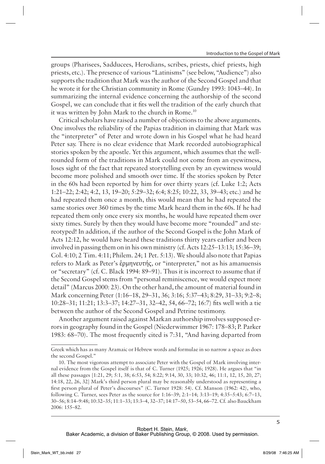groups (Pharisees, Sadducees, Herodians, scribes, priests, chief priests, high priests, etc.). The presence of various "Latinisms" (see below, "Audience") also supports the tradition that Mark was the author of the Second Gospel and that he wrote it for the Christian community in Rome (Gundry 1993: 1043–44). In summarizing the internal evidence concerning the authorship of the second Gospel, we can conclude that it fits well the tradition of the early church that it was written by John Mark to the church in Rome.<sup>10</sup>

Critical scholars have raised a number of objections to the above arguments. One involves the reliability of the Papias tradition in claiming that Mark was the "interpreter" of Peter and wrote down in his Gospel what he had heard Peter say. There is no clear evidence that Mark recorded autobiographical stories spoken by the apostle. Yet this argument, which assumes that the wellrounded form of the traditions in Mark could not come from an eyewitness, loses sight of the fact that repeated storytelling even by an eyewitness would become more polished and smooth over time. If the stories spoken by Peter in the 60s had been reported by him for over thirty years (cf. Luke 1:2; Acts 1:21–22; 2:42; 4:2, 13, 19–20; 5:29–32; 6:4; 8:25; 10:22, 33, 39–43; etc.) and he had repeated them once a month, this would mean that he had repeated the same stories over 360 times by the time Mark heard them in the 60s. If he had repeated them only once every six months, he would have repeated them over sixty times. Surely by then they would have become more "rounded" and stereotyped! In addition, if the author of the Second Gospel is the John Mark of Acts 12:12, he would have heard these traditions thirty years earlier and been involved in passing them on in his own ministry (cf. Acts 12:25–13:13; 15:36–39; Col. 4:10; 2 Tim. 4:11; Philem. 24; 1 Pet. 5:13). We should also note that Papias refers to Mark as Peter's ἑρμηνευτής, or "interpreter," not as his amanuensis or "secretary" (cf. C. Black 1994: 89–91). Thus it is incorrect to assume that if the Second Gospel stems from "personal reminiscence, we would expect more detail" (Marcus 2000: 23). On the other hand, the amount of material found in Mark concerning Peter (1:16–18, 29–31, 36; 3:16; 5:37–43; 8:29, 31–33; 9:2–8; 10:28–31; 11:21; 13:3–37; 14:27–31, 32–42, 54, 66–72; 16:7) fits well with a tie between the author of the Second Gospel and Petrine testimony.

Another argument raised against Markan authorship involves supposed errors in geography found in the Gospel (Niederwimmer 1967: 178–83; P. Parker 1983: 68–70). The most frequently cited is 7:31, "And having departed from

Greek which has as many Aramaic or Hebrew words and formulae in so narrow a space as does the second Gospel."

<sup>10.</sup> The most vigorous attempt to associate Peter with the Gospel of Mark involving internal evidence from the Gospel itself is that of C. Turner (1925; 1926; 1928). He argues that "in all these passages [1:21, 29; 5:1, 38; 6:53, 54; 8:22; 9:14, 30, 33; 10:32, 46; 11:1, 12, 15, 20, 27; 14:18, 22, 26, 32] Mark's third person plural may be reasonably understood as representing a first person plural of Peter's discourses" (C. Turner 1928: 54). Cf. Manson (1962: 42), who, following C. Turner, sees Peter as the source for 1:16–39; 2:1–14; 3:13–19; 4:35–5:43; 6:7–13, 30–56; 8:14–9:48; 10:32–35; 11:1–33; 13:3–4, 32–37; 14:17–50, 53–54, 66–72. Cf. also Bauckham 2006: 155–82.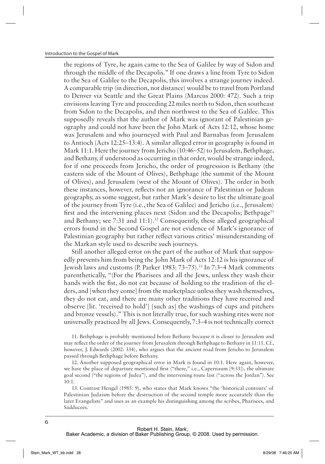the regions of Tyre, he again came to the Sea of Galilee by way of Sidon and through the middle of the Decapolis." If one draws a line from Tyre to Sidon to the Sea of Galilee to the Decapolis, this involves a strange journey indeed. A comparable trip (in direction, not distance) would be to travel from Portland to Denver via Seattle and the Great Plains (Marcus 2000: 472). Such a trip envisions leaving Tyre and proceeding 22 miles north to Sidon, then southeast from Sidon to the Decapolis, and then northwest to the Sea of Galilee. This supposedly reveals that the author of Mark was ignorant of Palestinian geography and could not have been the John Mark of Acts 12:12, whose home was Jerusalem and who journeyed with Paul and Barnabas from Jerusalem to Antioch (Acts 12:25–13:4). A similar alleged error in geography is found in Mark 11:1. Here the journey from Jericho (10:46–52) to Jerusalem, Bethphage, and Bethany, if understood as occurring in that order, would be strange indeed, for if one proceeds from Jericho, the order of progression is Bethany (the eastern side of the Mount of Olives), Bethphage (the summit of the Mount of Olives), and Jerusalem (west of the Mount of Olives). The order in both these instances, however, reflects not an ignorance of Palestinian or Judean geography, as some suggest, but rather Mark's desire to list the ultimate goal of the journey from Tyre (i.e., the Sea of Galilee) and Jericho (i.e., Jerusalem) first and the intervening places next (Sidon and the Decapolis; Bethpage<sup>11</sup> and Bethany; see 7:31 and  $11:1$ ).<sup>12</sup> Consequently, these alleged geographical errors found in the Second Gospel are not evidence of Mark's ignorance of Palestinian geography but rather reflect various critics' misunderstanding of the Markan style used to describe such journeys.

Still another alleged error on the part of the author of Mark that supposedly prevents him from being the John Mark of Acts 12:12 is his ignorance of Jewish laws and customs (P. Parker 1983: 73–75).13 In 7:3–4 Mark comments parenthetically, "(For the Pharisees and all the Jews, unless they wash their hands with the fist, do not eat because of holding to the tradition of the elders, and [when they come] from the marketplace unless they wash themselves, they do not eat, and there are many other traditions they have received and observe [lit. 'received to hold'] [such as] the washings of cups and pitchers and bronze vessels)." This is not literally true, for such washing rites were not universally practiced by all Jews. Consequently, 7:3–4 is not technically correct

11. Bethphage is probably mentioned before Bethany because it is closer to Jerusalem and may reflect the order of the journey from Jerusalem through Bethphage to Bethany in 11:11. Cf., however, J. Edwards (2002: 334), who argues that the ancient road from Jericho to Jerusalem passed through Bethphage before Bethany.

12. Another supposed geographical error in Mark is found in 10:1. Here again, however, we have the place of departure mentioned first ("there," i.e., Capernaum [9:33]), the ultimate goal second ("the regions of Judea"), and the intervening route last ("across the Jordan"). See  $10:1.$ 

13. Contrast Hengel (1985: 9), who states that Mark knows "the 'historical contours' of Palestinian Judaism before the destruction of the second temple more accurately than the later Evangelists" and uses as an example his distinguishing among the scribes, Pharisees, and Sadducees.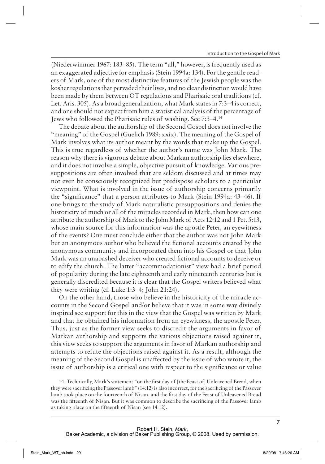(Niederwimmer 1967: 183–85). The term "all," however, is frequently used as an exaggerated adjective for emphasis (Stein 1994a: 134). For the gentile readers of Mark, one of the most distinctive features of the Jewish people was the kosher regulations that pervaded their lives, and no clear distinction would have been made by them between OT regulations and Pharisaic oral traditions (cf. Let. Aris. 305). As a broad generalization, what Mark states in 7:3–4 is correct, and one should not expect from him a statistical analysis of the percentage of Jews who followed the Pharisaic rules of washing. See 7:3–4.14

The debate about the authorship of the Second Gospel does not involve the "meaning" of the Gospel (Guelich 1989: xxix). The meaning of the Gospel of Mark involves what its author meant by the words that make up the Gospel. This is true regardless of whether the author's name was John Mark. The reason why there is vigorous debate about Markan authorship lies elsewhere, and it does not involve a simple, objective pursuit of knowledge. Various presuppositions are often involved that are seldom discussed and at times may not even be consciously recognized but predispose scholars to a particular viewpoint. What is involved in the issue of authorship concerns primarily the "significance" that a person attributes to Mark (Stein 1994a: 43–46). If one brings to the study of Mark naturalistic presuppositions and denies the historicity of much or all of the miracles recorded in Mark, then how can one attribute the authorship of Mark to the John Mark of Acts 12:12 and 1 Pet. 5:13, whose main source for this information was the apostle Peter, an eyewitness of the events? One must conclude either that the author was not John Mark but an anonymous author who believed the fictional accounts created by the anonymous community and incorporated them into his Gospel or that John Mark was an unabashed deceiver who created fictional accounts to deceive or to edify the church. The latter "accommodationist" view had a brief period of popularity during the late eighteenth and early nineteenth centuries but is generally discredited because it is clear that the Gospel writers believed what they were writing (cf. Luke 1:3–4; John 21:24).

On the other hand, those who believe in the historicity of the miracle accounts in the Second Gospel and/or believe that it was in some way divinely inspired see support for this in the view that the Gospel was written by Mark and that he obtained his information from an eyewitness, the apostle Peter. Thus, just as the former view seeks to discredit the arguments in favor of Markan authorship and supports the various objections raised against it, this view seeks to support the arguments in favor of Markan authorship and attempts to refute the objections raised against it. As a result, although the meaning of the Second Gospel is unaffected by the issue of who wrote it, the issue of authorship is a critical one with respect to the significance or value

14. Technically, Mark's statement "on the first day of [the Feast of] Unleavened Bread, when they were sacrificing the Passover lamb" (14:12) is also incorrect, for the sacrificing of the Passover lamb took place on the fourteenth of Nisan, and the first day of the Feast of Unleavened Bread was the fifteenth of Nisan. But it was common to describe the sacrificing of the Passover lamb as taking place on the fifteenth of Nisan (see 14:12).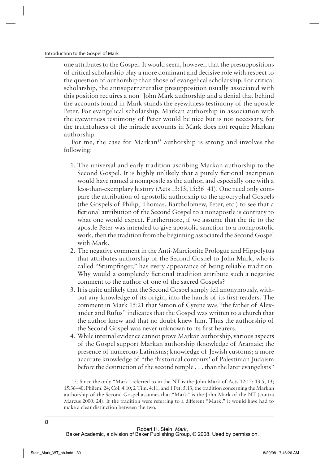one attributes to the Gospel. It would seem, however, that the presuppositions of critical scholarship play a more dominant and decisive role with respect to the question of authorship than those of evangelical scholarship. For critical scholarship, the antisupernaturalist presupposition usually associated with this position requires a non–John Mark authorship and a denial that behind the accounts found in Mark stands the eyewitness testimony of the apostle Peter. For evangelical scholarship, Markan authorship in association with the eyewitness testimony of Peter would be nice but is not necessary, for the truthfulness of the miracle accounts in Mark does not require Markan authorship.

For me, the case for Markan<sup>15</sup> authorship is strong and involves the following:

- 1. The universal and early tradition ascribing Markan authorship to the Second Gospel. It is highly unlikely that a purely fictional ascription would have named a nonapostle as the author, and especially one with a less-than-exemplary history (Acts 13:13; 15:36–41). One need only compare the attribution of apostolic authorship to the apocryphal Gospels (the Gospels of Philip, Thomas, Bartholomew, Peter, etc.) to see that a fictional attribution of the Second Gospel to a nonapostle is contrary to what one would expect. Furthermore, if we assume that the tie to the apostle Peter was intended to give apostolic sanction to a nonapostolic work, then the tradition from the beginning associated the Second Gospel with Mark.
- 2. The negative comment in the Anti-Marcionite Prologue and Hippolytus that attributes authorship of the Second Gospel to John Mark, who is called "Stumpfinger," has every appearance of being reliable tradition. Why would a completely fictional tradition attribute such a negative comment to the author of one of the sacred Gospels?
- 3. It is quite unlikely that the Second Gospel simply fell anonymously, without any knowledge of its origin, into the hands of its first readers. The comment in Mark 15:21 that Simon of Cyrene was "the father of Alexander and Rufus" indicates that the Gospel was written to a church that the author knew and that no doubt knew him. Thus the authorship of the Second Gospel was never unknown to its first hearers.
- 4. While internal evidence cannot prove Markan authorship, various aspects of the Gospel support Markan authorship (knowledge of Aramaic; the presence of numerous Latinisms; knowledge of Jewish customs; a more accurate knowledge of "the 'historical contours' of Palestinian Judaism before the destruction of the second temple . . . than the later evangelists"

15. Since the only "Mark" referred to in the NT is the John Mark of Acts 12:12; 13:5, 13; 15:36–40; Philem. 24; Col. 4:10; 2 Tim. 4:11; and 1 Pet. 5:13, the tradition concerning the Markan authorship of the Second Gospel assumes that "Mark" is the John Mark of the NT (contra Marcus 2000: 24). If the tradition were referring to a different "Mark," it would have had to make a clear distinction between the two.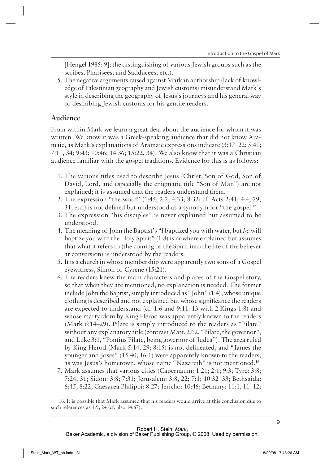[Hengel 1985: 9]; the distinguishing of various Jewish groups such as the scribes, Pharisees, and Sadducees; etc.).

5. The negative arguments raised against Markan authorship (lack of knowledge of Palestinian geography and Jewish customs) misunderstand Mark's style in describing the geography of Jesus's journeys and his general way of describing Jewish customs for his gentile readers.

## **Audience**

From within Mark we learn a great deal about the audience for whom it was written. We know it was a Greek-speaking audience that did not know Aramaic, as Mark's explanations of Aramaic expressions indicate (3:17–22; 5:41; 7:11, 34; 9:43; 10:46; 14:36; 15:22, 34). We also know that it was a Christian audience familiar with the gospel traditions. Evidence for this is as follows:

- 1. The various titles used to describe Jesus (Christ, Son of God, Son of David, Lord, and especially the enigmatic title "Son of Man") are not explained; it is assumed that the readers understand them.
- 2. The expression "the word" (1:45; 2:2; 4:33; 8:32; cf. Acts 2:41; 4:4, 29, 31; etc.) is not defined but understood as a synonym for "the gospel."
- 3. The expression "his disciples" is never explained but assumed to be understood.
- 4. The meaning of John the Baptist's "*I* baptized you with water, but *he* will baptize you with the Holy Spirit" (1:8) is nowhere explained but assumes that what it refers to (the coming of the Spirit into the life of the believer at conversion) is understood by the readers.
- 5. It is a church in whose membership were apparently two sons of a Gospel eyewitness, Simon of Cyrene (15:21).
- 6. The readers knew the main characters and places of the Gospel story, so that when they are mentioned, no explanation is needed. The former include John the Baptist, simply introduced as "John" (1:4), whose unique clothing is described and not explained but whose significance the readers are expected to understand (cf. 1:6 and 9:11–13 with 2 Kings 1:8) and whose martyrdom by King Herod was apparently known to the readers (Mark 6:14–29). Pilate is simply introduced to the readers as "Pilate" without any explanatory title (contrast Matt. 27:2, "Pilate, the governor"; and Luke 3:1, "Pontius Pilate, being governor of Judea"). The area ruled by King Herod (Mark 5:14, 29; 8:15) is not delineated, and "James the younger and Joses" (15:40; 16:1) were apparently known to the readers, as was Jesus's hometown, whose name "Nazareth" is not mentioned.16
- 7. Mark assumes that various cities (Capernaum: 1:21; 2:1; 9:3; Tyre: 3:8; 7:24, 31; Sidon: 3:8; 7:31; Jerusalem: 3:8, 22; 7:1; 10:32–33; Bethsaida: 6:45; 8:22; Caesarea Philippi: 8:27; Jericho: 10:46; Bethany: 11:1, 11–12;

16. It is possible that Mark assumed that his readers would arrive at this conclusion due to such references as 1:9, 24 (cf. also 14:67).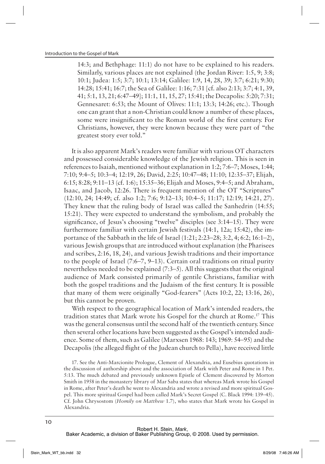14:3; and Bethphage: 11:1) do not have to be explained to his readers. Similarly, various places are not explained (the Jordan River: 1:5, 9; 3:8; 10:1; Judea: 1:5; 3:7; 10:1; 13:14; Galilee: 1:9, 14, 28, 39; 3:7; 6:21; 9:30; 14:28; 15:41; 16:7; the Sea of Galilee: 1:16; 7:31 [cf. also 2:13; 3:7; 4:1, 39, 41; 5:1, 13, 21; 6:47–49]; 11:1, 11, 15, 27; 15:41; the Decapolis: 5:20; 7:31; Gennesaret: 6:53; the Mount of Olives: 11:1; 13:3; 14:26; etc.). Though one can grant that a non-Christian could know a number of these places, some were insignificant to the Roman world of the first century. For Christians, however, they were known because they were part of "the greatest story ever told."

It is also apparent Mark's readers were familiar with various OT characters and possessed considerable knowledge of the Jewish religion. This is seen in references to Isaiah, mentioned without explanation in 1:2; 7:6–7; Moses, 1:44; 7:10; 9:4–5; 10:3–4; 12:19, 26; David, 2:25; 10:47–48; 11:10; 12:35–37; Elijah, 6:15; 8:28; 9:11–13 (cf. 1:6); 15:35–36; Elijah and Moses, 9:4–5; and Abraham, Isaac, and Jacob, 12:26. There is frequent mention of the OT "Scriptures" (12:10, 24; 14:49; cf. also 1:2; 7:6; 9:12–13; 10:4–5; 11:17; 12:19; 14:21, 27). They knew that the ruling body of Israel was called the Sanhedrin (14:55; 15:21). They were expected to understand the symbolism, and probably the significance, of Jesus's choosing "twelve" disciples (see 3:14–15). They were furthermore familiar with certain Jewish festivals (14:1, 12a; 15:42), the importance of the Sabbath in the life of Israel (1:21; 2:23–28; 3:2, 4; 6:2; 16:1–2), various Jewish groups that are introduced without explanation (the Pharisees and scribes, 2:16, 18, 24), and various Jewish traditions and their importance to the people of Israel (7:6–7, 9–13). Certain oral traditions on ritual purity nevertheless needed to be explained (7:3–5). All this suggests that the original audience of Mark consisted primarily of gentile Christians, familiar with both the gospel traditions and the Judaism of the first century. It is possible that many of them were originally "God-fearers" (Acts 10:2, 22; 13:16, 26), but this cannot be proven.

With respect to the geographical location of Mark's intended readers, the tradition states that Mark wrote his Gospel for the church at Rome.17 This was the general consensus until the second half of the twentieth century. Since then several other locations have been suggested as the Gospel's intended audience. Some of them, such as Galilee (Marxsen 1968: 143; 1969: 54–95) and the Decapolis (the alleged flight of the Judean church to Pella), have received little

17. See the Anti-Marcionite Prologue, Clement of Alexandria, and Eusebius quotations in the discussion of authorship above and the association of Mark with Peter and Rome in 1 Pet. 5:13. The much debated and previously unknown Epistle of Clement discovered by Morton Smith in 1958 in the monastery library of Mar Saba states that whereas Mark wrote his Gospel in Rome, after Peter's death he went to Alexandria and wrote a revised and more spiritual Gospel. This more spiritual Gospel had been called Mark's Secret Gospel (C. Black 1994: 139–45). Cf. John Chrysostom (*Homily on Matthew* 1.7), who states that Mark wrote his Gospel in Alexandria.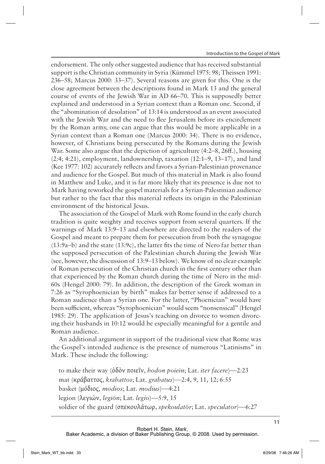endorsement. The only other suggested audience that has received substantial support is the Christian community in Syria (Kümmel 1975: 98; Theissen 1991: 236–58; Marcus 2000: 33–37). Several reasons are given for this. One is the close agreement between the descriptions found in Mark 13 and the general course of events of the Jewish War in AD 66–70. This is supposedly better explained and understood in a Syrian context than a Roman one. Second, if the "abomination of desolation" of 13:14 is understood as an event associated with the Jewish War and the need to flee Jerusalem before its encirclement by the Roman army, one can argue that this would be more applicable in a Syrian context than a Roman one (Marcus 2000: 34). There is no evidence, however, of Christians being persecuted by the Romans during the Jewish War. Some also argue that the depiction of agriculture (4:2–8, 26ff.), housing  $(2.4; 4.21)$ , employment, landownership, taxation  $(12.1-9, 13-17)$ , and land (Kee 1977: 102) accurately reflects and favors a Syrian-Palestinian provenance and audience for the Gospel. But much of this material in Mark is also found in Matthew and Luke, and it is far more likely that its presence is due not to Mark having reworked the gospel materials for a Syrian-Palestinian audience but rather to the fact that this material reflects its origin in the Palestinian environment of the historical Jesus.

The association of the Gospel of Mark with Rome found in the early church tradition is quite weighty and receives support from several quarters. If the warnings of Mark 13:9–13 and elsewhere are directed to the readers of the Gospel and meant to prepare them for persecution from both the synagogue (13:9a–b) and the state (13:9c), the latter fits the time of Nero far better than the supposed persecution of the Palestinian church during the Jewish War (see, however, the discussion of 13:9–13 below). We know of no clear example of Roman persecution of the Christian church in the first century other than that experienced by the Roman church during the time of Nero in the mid-60s (Hengel 2000: 79). In addition, the description of the Greek woman in 7:26 as "Syrophoenician by birth" makes far better sense if addressed to a Roman audience than a Syrian one. For the latter, "Phoenician" would have been sufficient, whereas "Syrophoenician" would seem "nonsensical" (Hengel 1985: 29). The application of Jesus's teaching on divorce to women divorcing their husbands in 10:12 would be especially meaningful for a gentile and Roman audience.

An additional argument in support of the traditional view that Rome was the Gospel's intended audience is the presence of numerous "Latinisms" in Mark. These include the following:

to make their way (ὁδὸν ποιεῖν, *hodon poiein*; Lat. *iter facere*)—2:23 mat (κράβαττος, *krabattos*; Lat. *grabatus*)—2:4, 9, 11, 12; 6:55 basket (μόδιος*, modios*; Lat. *modius*)—4:21 legion (λεγιών, *legiōn*; Lat. *legio*)—5:9, 15 soldier of the guard (σπεκουλάτωρ, *spekoulatōr*; Lat. *speculator*)—6:27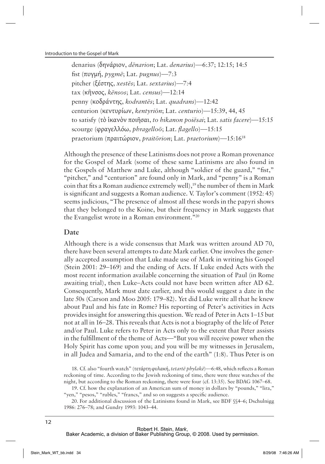denarius (δηνάριον, *dēnarion*; Lat. *denarius*)—6:37; 12:15; 14:5 fist (πυγμή, *pygmē*; Lat. *pugnus*)—7:3 pitcher (ξέστης, *xestēs*; Lat. *sextarius*)—7:4 tax (κῆνσος, *kēnsos*; Lat. *census*)—12:14 penny (κοδράντης, *kodrantēs*; Lat. *quadrans*)—12:42 centurion (κεντυρίων, *kentyriōn*; Lat. *centurio*)—15:39, 44, 45 to satisfy (τὸ ἱκανὸν ποιῆσαι, *to hikanon poiēsai*; Lat. *satis facere*)—15:15 scourge (φραγελλόω, *phragelloō*; Lat. *flagello*)—15:15 praetorium (πραιτώριον, *praitōrion*; Lat. *praetorium*)—15:1618

Although the presence of these Latinisms does not prove a Roman provenance for the Gospel of Mark (some of these same Latinisms are also found in the Gospels of Matthew and Luke, although "soldier of the guard," "fist," "pitcher," and "centurion" are found only in Mark, and "penny" is a Roman coin that fits a Roman audience extremely well),<sup>19</sup> the number of them in Mark is significant and suggests a Roman audience. V. Taylor's comment (1952: 45) seems judicious, "The presence of almost all these words in the papyri shows that they belonged to the Koine, but their frequency in Mark suggests that the Evangelist wrote in a Roman environment."20

#### **Date**

Although there is a wide consensus that Mark was written around AD 70, there have been several attempts to date Mark earlier. One involves the generally accepted assumption that Luke made use of Mark in writing his Gospel (Stein 2001: 29–169) and the ending of Acts. If Luke ended Acts with the most recent information available concerning the situation of Paul (in Rome awaiting trial), then Luke–Acts could not have been written after AD 62. Consequently, Mark must date earlier, and this would suggest a date in the late 50s (Carson and Moo 2005: 179–82). Yet did Luke write all that he knew about Paul and his fate in Rome? His reporting of Peter's activities in Acts provides insight for answering this question. We read of Peter in Acts 1–15 but not at all in 16–28. This reveals that Acts is not a biography of the life of Peter and/or Paul. Luke refers to Peter in Acts only to the extent that Peter assists in the fulfillment of the theme of Acts—"But you will receive power when the Holy Spirit has come upon you; and you will be my witnesses in Jerusalem, in all Judea and Samaria, and to the end of the earth" (1:8). Thus Peter is on

18. Cf. also "fourth watch" (τετάρτη φυλακή, *tetartē phylakē*)—6:48, which reflects a Roman reckoning of time. According to the Jewish reckoning of time, there were three watches of the night, but according to the Roman reckoning, there were four (cf. 13:35). See BDAG 1067–68.

19. Cf. how the explanation of an American sum of money in dollars by "pounds," "lira," "yen," "pesos," "rubles," "francs," and so on suggests a specific audience.

20. For additional discussion of the Latinisms found in Mark, see BDF §§4–6; Dschulnigg 1986: 276–78; and Gundry 1993: 1043–44.

#### Robert H. Stein, *Mark*,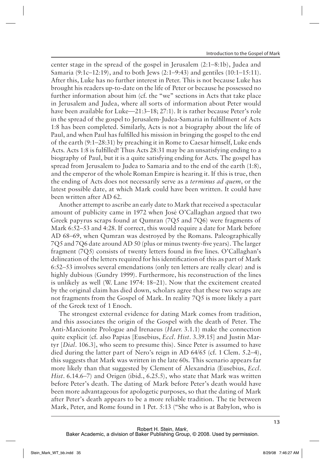center stage in the spread of the gospel in Jerusalem (2:1–8:1b), Judea and Samaria (9:1c–12:19), and to both Jews (2:1–9:43) and gentiles (10:1–15:11). After this, Luke has no further interest in Peter. This is not because Luke has brought his readers up-to-date on the life of Peter or because he possessed no further information about him (cf. the "we" sections in Acts that take place in Jerusalem and Judea, where all sorts of information about Peter would have been available for Luke—21:3–18; 27:1). It is rather because Peter's role in the spread of the gospel to Jerusalem-Judea-Samaria in fulfillment of Acts 1:8 has been completed. Similarly, Acts is not a biography about the life of Paul, and when Paul has fulfilled his mission in bringing the gospel to the end of the earth (9:1–28:31) by preaching it in Rome to Caesar himself, Luke ends Acts. Acts 1:8 is fulfilled! Thus Acts 28:31 may be an unsatisfying ending to a biography of Paul, but it is a quite satisfying ending for Acts. The gospel has spread from Jerusalem to Judea to Samaria and to the end of the earth (1:8), and the emperor of the whole Roman Empire is hearing it. If this is true, then the ending of Acts does not necessarily serve as a *terminus ad quem*, or the latest possible date, at which Mark could have been written. It could have been written after AD 62.

Another attempt to ascribe an early date to Mark that received a spectacular amount of publicity came in 1972 when José O'Callaghan argued that two Greek papyrus scraps found at Qumran (7Q5 and 7Q6) were fragments of Mark 6:52–53 and 4:28. If correct, this would require a date for Mark before AD 68–69, when Qumran was destroyed by the Romans. Paleographically 7Q5 and 7Q6 date around AD 50 (plus or minus twenty-five years). The larger fragment (7Q5) consists of twenty letters found in five lines. O'Callaghan's delineation of the letters required for his identification of this as part of Mark 6:52–53 involves several emendations (only ten letters are really clear) and is highly dubious (Gundry 1999). Furthermore, his reconstruction of the lines is unlikely as well (W. Lane 1974: 18–21). Now that the excitement created by the original claim has died down, scholars agree that these two scraps are not fragments from the Gospel of Mark. In reality 7Q5 is more likely a part of the Greek text of 1 Enoch.

The strongest external evidence for dating Mark comes from tradition, and this associates the origin of the Gospel with the death of Peter. The Anti-Marcionite Prologue and Irenaeus (*Haer.* 3.1.1) make the connection quite explicit (cf. also Papias [Eusebius, *Eccl. Hist.* 3.39.15] and Justin Martyr [*Dial.* 106.3], who seem to presume this). Since Peter is assumed to have died during the latter part of Nero's reign in AD 64/65 (cf. 1 Clem. 5.2–4), this suggests that Mark was written in the late 60s. This scenario appears far more likely than that suggested by Clement of Alexandria (Eusebius, *Eccl. Hist.* 6.14.6–7) and Origen (ibid., 6.25.5), who state that Mark was written before Peter's death. The dating of Mark before Peter's death would have been more advantageous for apologetic purposes, so that the dating of Mark after Peter's death appears to be a more reliable tradition. The tie between Mark, Peter, and Rome found in 1 Pet. 5:13 ("She who is at Babylon, who is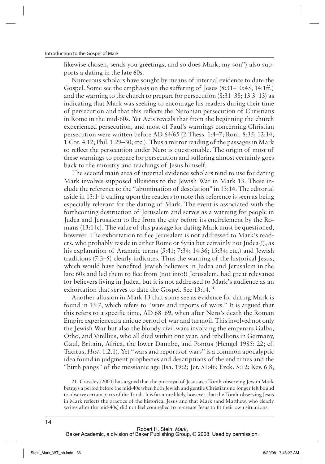likewise chosen, sends you greetings, and so does Mark, my son") also supports a dating in the late 60s.

Numerous scholars have sought by means of internal evidence to date the Gospel. Some see the emphasis on the suffering of Jesus (8:31–10:45; 14:1ff.) and the warning to the church to prepare for persecution (8:31–38; 13:3–13) as indicating that Mark was seeking to encourage his readers during their time of persecution and that this reflects the Neronian persecution of Christians in Rome in the mid-60s. Yet Acts reveals that from the beginning the church experienced persecution, and most of Paul's warnings concerning Christian persecution were written before AD 64/65 (2 Thess. 1:4–7; Rom. 8:35; 12:14; 1 Cor. 4:12; Phil. 1:29–30; etc.). Thus a mirror reading of the passages in Mark to reflect the persecution under Nero is questionable. The origin of most of these warnings to prepare for persecution and suffering almost certainly goes back to the ministry and teachings of Jesus himself.

The second main area of internal evidence scholars tend to use for dating Mark involves supposed allusions to the Jewish War in Mark 13. These include the reference to the "abomination of desolation" in 13:14. The editorial aside in 13:14b calling upon the readers to note this reference is seen as being especially relevant for the dating of Mark. The event is associated with the forthcoming destruction of Jerusalem and serves as a warning for people in Judea and Jerusalem to flee from the city before its encirclement by the Romans (13:14c). The value of this passage for dating Mark must be questioned, however. The exhortation to flee Jerusalem is not addressed to Mark's readers, who probably reside in either Rome or Syria but certainly not Judea(!), as his explanation of Aramaic terms (5:41; 7:34; 14:36; 15:34; etc.) and Jewish traditions (7:3–5) clearly indicates. Thus the warning of the historical Jesus, which would have benefited Jewish believers in Judea and Jerusalem in the late 60s and led them to flee from (not into!) Jerusalem, had great relevance for believers living in Judea, but it is not addressed to Mark's audience as an exhortation that serves to date the Gospel. See 13:14.<sup>21</sup>

Another allusion in Mark 13 that some see as evidence for dating Mark is found in 13:7, which refers to "wars and reports of wars." It is argued that this refers to a specific time, AD 68–69, when after Nero's death the Roman Empire experienced a unique period of war and turmoil. This involved not only the Jewish War but also the bloody civil wars involving the emperors Galba, Otho, and Vitellius, who all died within one year, and rebellions in Germany, Gaul, Britain, Africa, the lower Danube, and Pontus (Hengel 1985: 22; cf. Tacitus, *Hist.* 1.2.1). Yet "wars and reports of wars" is a common apocalyptic idea found in judgment prophecies and descriptions of the end times and the "birth pangs" of the messianic age (Isa.  $19:2$ ; Jer.  $51:46$ ; Ezek.  $5:12$ ; Rev.  $6:8$ ;

21. Crossley (2004) has argued that the portrayal of Jesus as a Torah-observing Jew in Mark betrays a period before the mid-40s when both Jewish and gentile Christians no longer felt bound to observe certain parts of the Torah. It is far more likely, however, that the Torah-observing Jesus in Mark reflects the practice of the historical Jesus and that Mark (and Matthew, who clearly writes after the mid-40s) did not feel compelled to re-create Jesus to fit their own situations.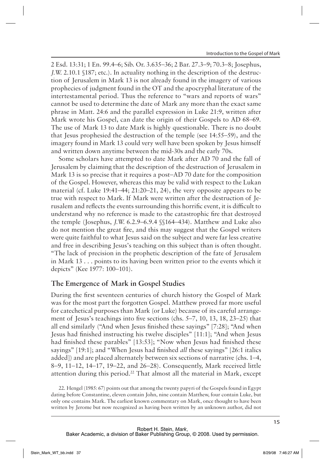2 Esd. 13:31; 1 En. 99.4–6; Sib. Or. 3.635–36; 2 Bar. 27.3–9; 70.3–8; Josephus, *J.W.* 2.10.1 §187; etc.). In actuality nothing in the description of the destruction of Jerusalem in Mark 13 is not already found in the imagery of various prophecies of judgment found in the OT and the apocryphal literature of the intertestamental period. Thus the reference to "wars and reports of wars" cannot be used to determine the date of Mark any more than the exact same phrase in Matt. 24:6 and the parallel expression in Luke 21:9, written after Mark wrote his Gospel, can date the origin of their Gospels to AD 68–69. The use of Mark 13 to date Mark is highly questionable. There is no doubt that Jesus prophesied the destruction of the temple (see 14:55–59), and the imagery found in Mark 13 could very well have been spoken by Jesus himself and written down anytime between the mid-30s and the early 70s.

Some scholars have attempted to date Mark after AD 70 and the fall of Jerusalem by claiming that the description of the destruction of Jerusalem in Mark 13 is so precise that it requires a post–AD 70 date for the composition of the Gospel. However, whereas this may be valid with respect to the Lukan material (cf. Luke 19:41–44; 21:20–21, 24), the very opposite appears to be true with respect to Mark. If Mark were written after the destruction of Jerusalem and reflects the events surrounding this horrific event, it is difficult to understand why no reference is made to the catastrophic fire that destroyed the temple (Josephus, *J.W.* 6.2.9–6.9.4 §§164–434). Matthew and Luke also do not mention the great fire, and this may suggest that the Gospel writers were quite faithful to what Jesus said on the subject and were far less creative and free in describing Jesus's teaching on this subject than is often thought. "The lack of precision in the prophetic description of the fate of Jerusalem in Mark 13 . . . points to its having been written prior to the events which it depicts" (Kee 1977: 100–101).

#### **The Emergence of Mark in Gospel Studies**

During the first seventeen centuries of church history the Gospel of Mark was for the most part the forgotten Gospel. Matthew proved far more useful for catechetical purposes than Mark (or Luke) because of its careful arrangement of Jesus's teachings into five sections (chs. 5–7, 10, 13, 18, 23–25) that all end similarly ("And when Jesus finished these sayings" [7:28]; "And when Jesus had finished instructing his twelve disciples" [11:1]; "And when Jesus had finished these parables" [13:53]; "Now when Jesus had finished these sayings" [19:1]; and "When Jesus had finished *all* these sayings" [26:1 italics added]) and are placed alternately between six sections of narrative (chs. 1–4, 8–9, 11–12, 14–17, 19–22, and 26–28). Consequently, Mark received little attention during this period.<sup>22</sup> That almost all the material in Mark, except

22. Hengel (1985: 67) points out that among the twenty papyri of the Gospels found in Egypt dating before Constantine, eleven contain John, nine contain Matthew, four contain Luke, but only one contains Mark. The earliest known commentary on Mark, once thought to have been written by Jerome but now recognized as having been written by an unknown author, did not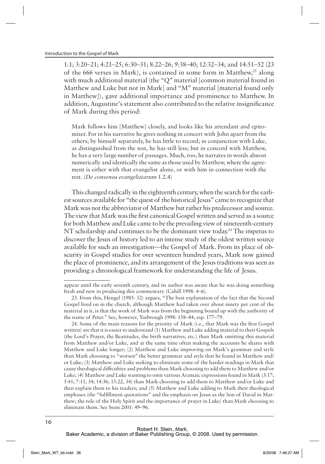1:1; 3:20–21; 4:21–25; 6:30–31; 8:22–26; 9:38–40; 12:32–34; and 14:51–52 (23 of the 666 verses in Mark), is contained in some form in Matthew,<sup>23</sup> along with much additional material (the "Q" material [common material found in Matthew and Luke but not in Mark] and "M" material [material found only in Matthew]), gave additional importance and prominence to Matthew. In addition, Augustine's statement also contributed to the relative insignificance of Mark during this period:

Mark follows him [Matthew] closely, and looks like his attendant and epitomizer. For in his narrative he gives nothing in concert with John apart from the others; by himself separately, he has little to record; in conjunction with Luke, as distinguished from the rest, he has still less; but in concord with Matthew, he has a very large number of passages. Much, too, he narrates in words almost numerically and identically the same as those used by Matthew, where the agreement is either with that evangelist alone, or with him in connection with the rest. (*De consensu evangelistarum* 1.2.4)

This changed radically in the eighteenth century, when the search for the earliest sources available for "the quest of the historical Jesus" came to recognize that Mark was not the abbreviator of Matthew but rather his predecessor and source. The view that Mark was the first canonical Gospel written and served as a source for both Matthew and Luke came to be the prevailing view of nineteenth-century NT scholarship and continues to be the dominant view today.<sup>24</sup> The impetus to discover the Jesus of history led to an intense study of the oldest written source available for such an investigation—the Gospel of Mark. From its place of obscurity in Gospel studies for over seventeen hundred years, Mark now gained the place of prominence, and its arrangement of the Jesus traditions was seen as providing a chronological framework for understanding the life of Jesus.

24. Some of the main reasons for the priority of Mark (i.e., that Mark was the first Gospel written) are that it is easier to understand (1) Matthew and Luke adding material to their Gospels (the Lord's Prayer, the Beatitudes, the birth narratives, etc.) than Mark omitting this material from Matthew and/or Luke, and at the same time often making the accounts he shares with Matthew and Luke longer; (2) Matthew and Luke improving on Mark's grammar and style than Mark choosing to "worsen" the better grammar and style that he found in Matthew and/ or Luke; (3) Matthew and Luke seeking to eliminate some of the harder readings in Mark that cause theological difficulties and problems than Mark choosing to add them to Matthew and/or Luke; (4) Matthew and Luke wanting to omit various Aramaic expressions found in Mark (3:17; 5:41; 7:11, 34; 14:36; 15:22, 34) than Mark choosing to add them to Matthew and/or Luke and then explain them to his readers; and (5) Matthew and Luke adding to Mark their theological emphases (the "fulfillment quotations" and the emphasis on Jesus as the Son of David in Matthew; the role of the Holy Spirit and the importance of prayer in Luke) than Mark choosing to eliminate them. See Stein 2001: 49–96.

appear until the early seventh century, and its author was aware that he was doing something fresh and new in producing this commentary (Cahill 1998: 4–6).

<sup>23.</sup> From this, Hengel (1985: 52) argues, "The best explanation of the fact that the Second Gospel lived on in the church, although Matthew had taken over about ninety per cent of the material in it, is that the work of Mark was from the beginning bound up with the authority of the name of Peter." See, however, Yarbrough 1998: 158–84, esp. 177–79.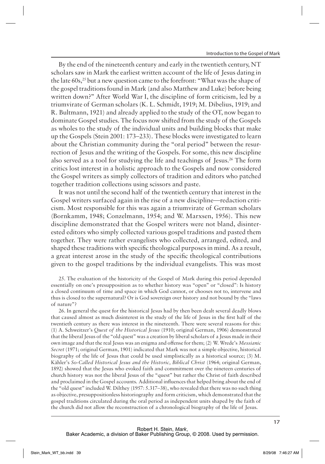By the end of the nineteenth century and early in the twentieth century, NT scholars saw in Mark the earliest written account of the life of Jesus dating in the late 60s,<sup>25</sup> but a new question came to the forefront: "What was the shape of the gospel traditions found in Mark (and also Matthew and Luke) before being written down?" After World War I, the discipline of form criticism, led by a triumvirate of German scholars (K. L. Schmidt, 1919; M. Dibelius, 1919; and R. Bultmann, 1921) and already applied to the study of the OT, now began to dominate Gospel studies. The focus now shifted from the study of the Gospels as wholes to the study of the individual units and building blocks that make up the Gospels (Stein 2001: 173–233). These blocks were investigated to learn about the Christian community during the "oral period" between the resurrection of Jesus and the writing of the Gospels. For some, this new discipline also served as a tool for studying the life and teachings of Jesus.<sup>26</sup> The form critics lost interest in a holistic approach to the Gospels and now considered the Gospel writers as simply collectors of tradition and editors who patched together tradition collections using scissors and paste.

It was not until the second half of the twentieth century that interest in the Gospel writers surfaced again in the rise of a new discipline—redaction criticism. Most responsible for this was again a triumvirate of German scholars (Bornkamm, 1948; Conzelmann, 1954; and W. Marxsen, 1956). This new discipline demonstrated that the Gospel writers were not bland, disinterested editors who simply collected various gospel traditions and pasted them together. They were rather evangelists who collected, arranged, edited, and shaped these traditions with specific theological purposes in mind. As a result, a great interest arose in the study of the specific theological contributions given to the gospel traditions by the individual evangelists. This was most

25. The evaluation of the historicity of the Gospel of Mark during this period depended essentially on one's presupposition as to whether history was "open" or "closed": Is history a closed continuum of time and space in which God cannot, or chooses not to, intervene and thus is closed to the supernatural? Or is God sovereign over history and not bound by the "laws of nature"?

26. In general the quest for the historical Jesus had by then been dealt several deadly blows that caused almost as much disinterest in the study of the life of Jesus in the first half of the twentieth century as there was interest in the nineteenth. There were several reasons for this: (1) A. Schweitzer's *Quest of the Historical Jesus* (1910; original German, 1906) demonstrated that the liberal Jesus of the "old quest" was a creation by liberal scholars of a Jesus made in their own image and that the real Jesus was an enigma and offense for them; (2) W. Wrede's *Messianic Secret* (1971; original German, 1901) indicated that Mark was not a simple objective, historical biography of the life of Jesus that could be used simplistically as a historical source; (3) M. Kähler's *So-Called Historical Jesus and the Historic, Biblical Christ* (1964; original German, 1892) showed that the Jesus who evoked faith and commitment over the nineteen centuries of church history was not the liberal Jesus of the "quest" but rather the Christ of faith described and proclaimed in the Gospel accounts. Additional influences that helped bring about the end of the "old quest" included W. Dilthey (1957: 5.317–38), who revealed that there was no such thing as objective, presuppositionless historiography and form criticism, which demonstrated that the gospel traditions circulated during the oral period as independent units shaped by the faith of the church did not allow the reconstruction of a chronological biography of the life of Jesus.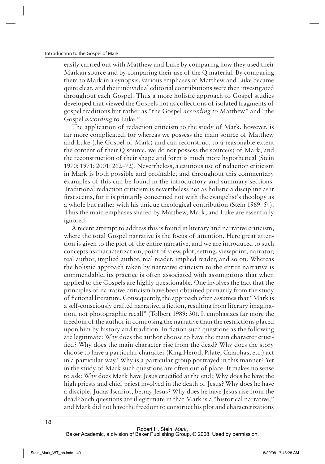easily carried out with Matthew and Luke by comparing how they used their Markan source and by comparing their use of the Q material. By comparing them to Mark in a synopsis, various emphases of Matthew and Luke became quite clear, and their individual editorial contributions were then investigated throughout each Gospel. Thus a more holistic approach to Gospel studies developed that viewed the Gospels not as collections of isolated fragments of gospel traditions but rather as "the Gospel *according to* Matthew" and "the Gospel *according to* Luke."

The application of redaction criticism to the study of Mark, however, is far more complicated, for whereas we possess the main source of Matthew and Luke (the Gospel of Mark) and can reconstruct to a reasonable extent the content of their Q source, we do not possess the source(s) of Mark, and the reconstruction of their shape and form is much more hypothetical (Stein 1970; 1971; 2001: 262–72). Nevertheless, a cautious use of redaction criticism in Mark is both possible and profitable, and throughout this commentary examples of this can be found in the introductory and summary sections. Traditional redaction criticism is nevertheless not as holistic a discipline as it first seems, for it is primarily concerned not with the evangelist's theology as a whole but rather with his unique theological contribution (Stein 1969: 54). Thus the main emphases shared by Matthew, Mark, and Luke are essentially ignored.

A recent attempt to address this is found in literary and narrative criticism, where the total Gospel narrative is the focus of attention. Here great attention is given to the plot of the entire narrative, and we are introduced to such concepts as characterization, point of view, plot, setting, viewpoint, narrator, real author, implied author, real reader, implied reader, and so on. Whereas the holistic approach taken by narrative criticism to the entire narrative is commendable, its practice is often associated with assumptions that when applied to the Gospels are highly questionable. One involves the fact that the principles of narrative criticism have been obtained primarily from the study of fictional literature. Consequently, the approach often assumes that "Mark is a self-consciously crafted narrative, a fiction, resulting from literary imagination, not photographic recall" (Tolbert 1989: 30). It emphasizes far more the freedom of the author in composing the narrative than the restrictions placed upon him by history and tradition. In fiction such questions as the following are legitimate: Why does the author choose to have the main character crucified? Why does the main character rise from the dead? Why does the story choose to have a particular character (King Herod, Pilate, Caiaphas, etc.) act in a particular way? Why is a particular group portrayed in this manner? Yet in the study of Mark such questions are often out of place. It makes no sense to ask: Why does Mark have Jesus crucified at the end? Why does he have the high priests and chief priest involved in the death of Jesus? Why does he have a disciple, Judas Iscariot, betray Jesus? Why does he have Jesus rise from the dead? Such questions are illegitimate in that Mark is a "historical narrative," and Mark did not have the freedom to construct his plot and characterizations

Robert H. Stein, *Mark*,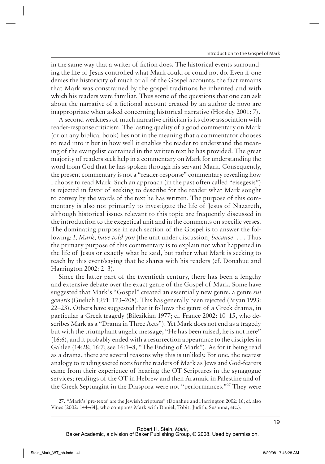in the same way that a writer of fiction does. The historical events surrounding the life of Jesus controlled what Mark could or could not do. Even if one denies the historicity of much or all of the Gospel accounts, the fact remains that Mark was constrained by the gospel traditions he inherited and with which his readers were familiar. Thus some of the questions that one can ask about the narrative of a fictional account created by an author de novo are inappropriate when asked concerning historical narrative (Horsley 2001: 7).

A second weakness of much narrative criticism is its close association with reader-response criticism. The lasting quality of a good commentary on Mark (or on any biblical book) lies not in the meaning that a commentator chooses to read into it but in how well it enables the reader to understand the meaning of the evangelist contained in the written text he has provided. The great majority of readers seek help in a commentary on Mark for understanding the word from God that he has spoken through his servant Mark. Consequently, the present commentary is not a "reader-response" commentary revealing how I choose to read Mark. Such an approach (in the past often called "eisegesis") is rejected in favor of seeking to describe for the reader what Mark sought to convey by the words of the text he has written. The purpose of this commentary is also not primarily to investigate the life of Jesus of Nazareth, although historical issues relevant to this topic are frequently discussed in the introduction to the exegetical unit and in the comments on specific verses. The dominating purpose in each section of the Gospel is to answer the following: *I, Mark, have told you* [the unit under discussion] *because*. . . . Thus the primary purpose of this commentary is to explain not what happened in the life of Jesus or exactly what he said, but rather what Mark is seeking to teach by this event/saying that he shares with his readers (cf. Donahue and Harrington 2002: 2–3).

Since the latter part of the twentieth century, there has been a lengthy and extensive debate over the exact genre of the Gospel of Mark. Some have suggested that Mark's "Gospel" created an essentially new genre, a genre *sui generis* (Guelich 1991: 173–208). This has generally been rejected (Bryan 1993: 22–23). Others have suggested that it follows the genre of a Greek drama, in particular a Greek tragedy (Bilezikian 1977; cf. France 2002: 10–15, who describes Mark as a "Drama in Three Acts"). Yet Mark does not end as a tragedy but with the triumphant angelic message, "He has been raised, he is not here" (16:6), and it probably ended with a resurrection appearance to the disciples in Galilee (14:28; 16:7; see 16:1–8, "The Ending of Mark"). As for it being read as a drama, there are several reasons why this is unlikely. For one, the nearest analogy to reading sacred texts for the readers of Mark as Jews and God-fearers came from their experience of hearing the OT Scriptures in the synagogue services; readings of the OT in Hebrew and then Aramaic in Palestine and of the Greek Septuagint in the Diaspora were not "performances."27 They were

27. "Mark's 'pre-texts' are the Jewish Scriptures" (Donahue and Harrington 2002: 16; cf. also Vines [2002: 144–64], who compares Mark with Daniel, Tobit, Judith, Susanna, etc.).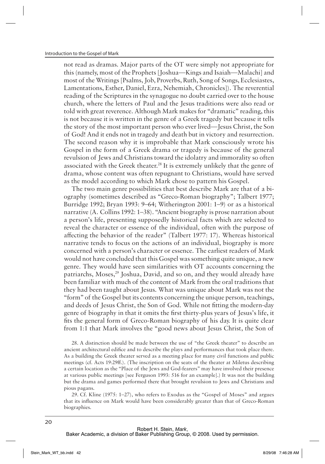not read as dramas. Major parts of the OT were simply not appropriate for this (namely, most of the Prophets [Joshua—Kings and Isaiah—Malachi] and most of the Writings [Psalms, Job, Proverbs, Ruth, Song of Songs, Ecclesiastes, Lamentations, Esther, Daniel, Ezra, Nehemiah, Chronicles]). The reverential reading of the Scriptures in the synagogue no doubt carried over to the house church, where the letters of Paul and the Jesus traditions were also read or told with great reverence. Although Mark makes for "dramatic" reading, this is not because it is written in the genre of a Greek tragedy but because it tells the story of the most important person who ever lived—Jesus Christ, the Son of God! And it ends not in tragedy and death but in victory and resurrection. The second reason why it is improbable that Mark consciously wrote his Gospel in the form of a Greek drama or tragedy is because of the general revulsion of Jews and Christians toward the idolatry and immorality so often associated with the Greek theater.<sup>28</sup> It is extremely unlikely that the genre of drama, whose content was often repugnant to Christians, would have served as the model according to which Mark chose to pattern his Gospel.

The two main genre possibilities that best describe Mark are that of a biography (sometimes described as "Greco-Roman biography"; Talbert 1977; Burridge 1992; Bryan 1993: 9–64; Witherington 2001: 1–9) or as a historical narrative (A. Collins 1992: 1–38). "Ancient biography is prose narration about a person's life, presenting supposedly historical facts which are selected to reveal the character or essence of the individual, often with the purpose of affecting the behavior of the reader" (Talbert 1977: 17). Whereas historical narrative tends to focus on the actions of an individual, biography is more concerned with a person's character or essence. The earliest readers of Mark would not have concluded that this Gospel was something quite unique, a new genre. They would have seen similarities with OT accounts concerning the patriarchs, Moses,<sup>29</sup> Joshua, David, and so on, and they would already have been familiar with much of the content of Mark from the oral traditions that they had been taught about Jesus. What was unique about Mark was not the "form" of the Gospel but its contents concerning the unique person, teachings, and deeds of Jesus Christ, the Son of God. While not fitting the modern-day genre of biography in that it omits the first thirty-plus years of Jesus's life, it fits the general form of Greco-Roman biography of his day. It is quite clear from 1:1 that Mark involves the "good news about Jesus Christ, the Son of

28. A distinction should be made between the use of "the Greek theater" to describe an ancient architectural edifice and to describe the plays and performances that took place there. As a building the Greek theater served as a meeting place for many civil functions and public meetings (cf. Acts 19:29ff.). (The inscription on the seats of the theater at Miletus describing a certain location as the "Place of the Jews and God-fearers" may have involved their presence at various public meetings [see Ferguson 1993: 516 for an example].) It was not the building but the drama and games performed there that brought revulsion to Jews and Christians and pious pagans.

29. Cf. Kline (1975: 1–27), who refers to Exodus as the "Gospel of Moses" and argues that its influence on Mark would have been considerably greater than that of Greco-Roman biographies.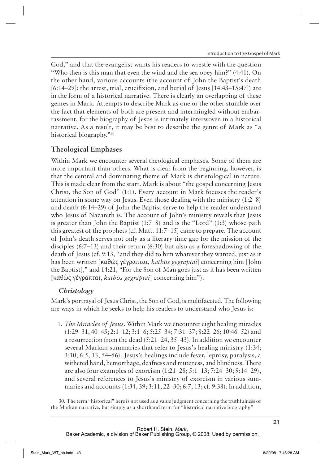God," and that the evangelist wants his readers to wrestle with the question "Who then is this man that even the wind and the sea obey him?" (4:41). On the other hand, various accounts (the account of John the Baptist's death [6:14–29]; the arrest, trial, crucifixion, and burial of Jesus [14:43–15:47]) are in the form of a historical narrative. There is clearly an overlapping of these genres in Mark. Attempts to describe Mark as one or the other stumble over the fact that elements of both are present and intermingled without embarrassment, for the biography of Jesus is intimately interwoven in a historical narrative. As a result, it may be best to describe the genre of Mark as "a historical biography."30

## **Theological Emphases**

Within Mark we encounter several theological emphases. Some of them are more important than others. What is clear from the beginning, however, is that the central and dominating theme of Mark is christological in nature. This is made clear from the start. Mark is about "the gospel concerning Jesus Christ, the Son of God" (1:1). Every account in Mark focuses the reader's attention in some way on Jesus. Even those dealing with the ministry (1:2–8) and death (6:14–29) of John the Baptist serve to help the reader understand who Jesus of Nazareth is. The account of John's ministry reveals that Jesus is greater than John the Baptist (1:7–8) and is the "Lord" (1:3) whose path this greatest of the prophets (cf. Matt. 11:7–15) came to prepare. The account of John's death serves not only as a literary time gap for the mission of the disciples (6:7–13) and their return (6:30) but also as a foreshadowing of the death of Jesus (cf. 9:13, "and they did to him whatever they wanted, just as it has been written [καθὼς γέγραπται, *kathōs gegraptai*] concerning him [John the Baptist]," and 14:21, "For the Son of Man goes just as it has been written [καθὼς γέγραπται, *kathōs gegraptai*] concerning him").

## *Christology*

Mark's portrayal of Jesus Christ, the Son of God, is multifaceted. The following are ways in which he seeks to help his readers to understand who Jesus is:

1. *The Miracles of Jesus*. Within Mark we encounter eight healing miracles (1:29–31, 40–45; 2:1–12; 3:1–6; 5:25–34; 7:31–37; 8:22–26; 10:46–52) and a resurrection from the dead (5:21–24, 35–43). In addition we encounter several Markan summaries that refer to Jesus's healing ministry (1:34; 3:10; 6:5, 13, 54–56). Jesus's healings include fever, leprosy, paralysis, a withered hand, hemorrhage, deafness and muteness, and blindness. There are also four examples of exorcism (1:21–28; 5:1–13; 7:24–30; 9:14–29), and several references to Jesus's ministry of exorcism in various summaries and accounts (1:34, 39; 3:11, 22–30; 6:7, 13; cf. 9:38). In addition,

30. The term "historical" here is not used as a value judgment concerning the truthfulness of the Markan narrative, but simply as a shorthand term for "historical narrative biography."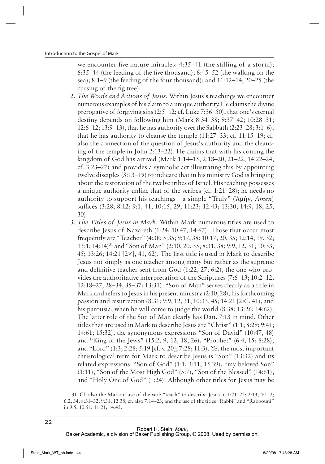we encounter five nature miracles: 4:35–41 (the stilling of a storm); 6:35–44 (the feeding of the five thousand); 6:45–52 (the walking on the sea); 8:1–9 (the feeding of the four thousand); and 11:12–14, 20–25 (the cursing of the fig tree).

- 2. *The Words and Actions of Jesus*. Within Jesus's teachings we encounter numerous examples of his claim to a unique authority. He claims the divine prerogative of forgiving sins (2:5–12; cf. Luke 7:36–50), that one's eternal destiny depends on following him (Mark 8:34–38; 9:37–42; 10:28–31; 12:6–12; 13:9–13), that he has authority over the Sabbath (2:23–28; 3:1–6), that he has authority to cleanse the temple (11:27–33; cf. 11:15–19; cf. also the connection of the question of Jesus's authority and the cleansing of the temple in John 2:13–22). He claims that with his coming the kingdom of God has arrived (Mark 1:14–15; 2:18–20, 21–22; 14:22–24; cf. 3:23–27) and provides a symbolic act illustrating this by appointing twelve disciples (3:13–19) to indicate that in his ministry God is bringing about the restoration of the twelve tribes of Israel. His teaching possesses a unique authority unlike that of the scribes (cf. 1:21–28); he needs no authority to support his teachings—a simple "Truly" (Ἀμήν, *Amēn*) suffices (3:28; 8:12; 9:1, 41; 10:15, 29; 11:23; 12:43; 13:30; 14:9, 18, 25, 30).
- 3. *The Titles of Jesus in Mark*. Within Mark numerous titles are used to describe Jesus of Nazareth (1:24; 10:47; 14:67). Those that occur most frequently are "Teacher" (4:38; 5:35; 9:17, 38; 10:17, 20, 35; 12:14, 19, 32; 13:1; 14:14)31 and "Son of Man" (2:10, 20, 35; 8:31, 38; 9:9, 12, 31; 10:33, 45; 13:26; 14:21 [2×], 41, 62). The first title is used in Mark to describe Jesus not simply as one teacher among many but rather as the supreme and definitive teacher sent from God (1:22, 27; 6:2), the one who provides the authoritative interpretation of the Scriptures (7:6–13; 10:2–12; 12:18–27, 28–34, 35–37; 13:31). "Son of Man" serves clearly as a title in Mark and refers to Jesus in his present ministry (2:10, 28), his forthcoming passion and resurrection (8:31; 9:9, 12, 31; 10:33, 45; 14:21 [2×], 41), and his parousia, when he will come to judge the world (8:38; 13:26; 14:62). The latter role of the Son of Man clearly has Dan. 7:13 in mind. Other titles that are used in Mark to describe Jesus are "Christ" (1:1; 8:29; 9:41; 14:61; 15:32), the synonymous expressions "Son of David" (10:47, 48) and "King of the Jews" (15:2, 9, 12, 18, 26), "Prophet" (6:4, 15; 8:28), and "Lord" (1:3; 2:28; 5:19 [cf. v. 20]; 7:28; 11:3). Yet the most important christological term for Mark to describe Jesus is "Son" (13:32) and its related expressions: "Son of God" (1:1; 3:11; 15:39), "my beloved Son"  $(1:11)$ , "Son of the Most High God"  $(5:7)$ , "Son of the Blessed"  $(14:61)$ , and "Holy One of God" (1:24). Although other titles for Jesus may be

<sup>31.</sup> Cf. also the Markan use of the verb "teach" to describe Jesus in 1:21–22; 2:13; 4:1–2; 6:2, 34; 8:31–32; 9:31; 12:38; cf. also 7:14–23; and the use of the titles "Rabbi" and "Rabbouni" in 9:5; 10:51; 11:21; 14:45.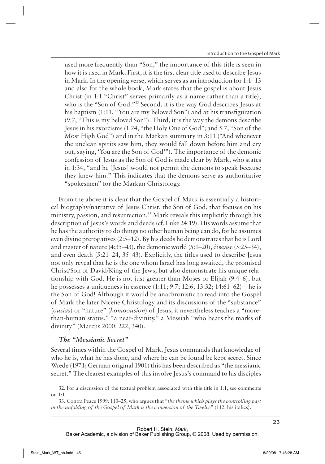used more frequently than "Son," the importance of this title is seen in how it is used in Mark. First, it is the first clear title used to describe Jesus in Mark. In the opening verse, which serves as an introduction for 1:1–13 and also for the whole book, Mark states that the gospel is about Jesus Christ (in 1:1 "Christ" serves primarily as a name rather than a title), who is the "Son of God."32 Second, it is the way God describes Jesus at his baptism (1:11, "You are my beloved Son") and at his transfiguration (9:7, "This is my beloved Son"). Third, it is the way the demons describe Jesus in his exorcisms (1:24, "the Holy One of God"; and 5:7, "Son of the Most High God") and in the Markan summary in 3:11 ("And whenever the unclean spirits saw him, they would fall down before him and cry out, saying, 'You are the Son of God'"). The importance of the demonic confession of Jesus as the Son of God is made clear by Mark, who states in 1:34, "and he [Jesus] would not permit the demons to speak because they knew him." This indicates that the demons serve as authoritative "spokesmen" for the Markan Christology.

From the above it is clear that the Gospel of Mark is essentially a historical biography/narrative of Jesus Christ, the Son of God, that focuses on his ministry, passion, and resurrection.33 Mark reveals this implicitly through his description of Jesus's words and deeds (cf. Luke 24:19). His words assume that he has the authority to do things no other human being can do, for he assumes even divine prerogatives (2:5–12). By his deeds he demonstrates that he is Lord and master of nature  $(4:35-43)$ , the demonic world  $(5:1-20)$ , disease  $(5:25-34)$ , and even death (5:21–24, 35–43). Explicitly, the titles used to describe Jesus not only reveal that he is the one whom Israel has long awaited, the promised Christ/Son of David/King of the Jews, but also demonstrate his unique relationship with God. He is not just greater than Moses or Elijah (9:4–6), but he possesses a uniqueness in essence (1:11; 9:7; 12:6; 13:32; 14:61–62)—he is the Son of God! Although it would be anachronistic to read into the Gospel of Mark the later Nicene Christology and its discussions of the "substance" (*ousias*) or "nature" (*homoousion*) of Jesus, it nevertheless teaches a "morethan-human status," "a near-divinity," a Messiah "who bears the marks of divinity" (Marcus 2000: 222, 340).

#### *The "Messianic Secret"*

Several times within the Gospel of Mark, Jesus commands that knowledge of who he is, what he has done, and where he can be found be kept secret. Since Wrede (1971; German original 1901) this has been described as "the messianic secret." The clearest examples of this involve Jesus's command to his disciples

32. For a discussion of the textual problem associated with this title in 1:1, see comments on 1:1.

33. Contra Peace 1999: 110–25, who argues that "*the theme which plays the controlling part in the unfolding of the Gospel of Mark is the conversion of the Twelve*" (112, his italics).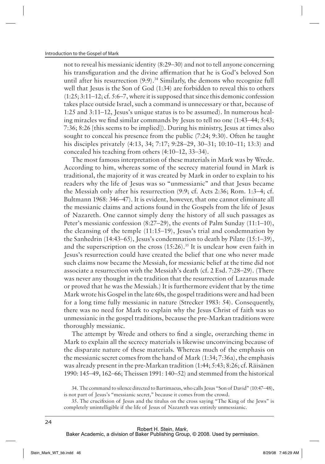not to reveal his messianic identity (8:29–30) and not to tell anyone concerning his transfiguration and the divine affirmation that he is God's beloved Son until after his resurrection  $(9.9)$ .<sup>34</sup> Similarly, the demons who recognize full well that Jesus is the Son of God (1:34) are forbidden to reveal this to others  $(1:25; 3:11-12; cf. 5:6-7, where it is supposed that since this demonic configuration$ takes place outside Israel, such a command is unnecessary or that, because of 1:25 and 3:11–12, Jesus's unique status is to be assumed). In numerous healing miracles we find similar commands by Jesus to tell no one (1:43–44; 5:43; 7:36; 8:26 [this seems to be implied]). During his ministry, Jesus at times also sought to conceal his presence from the public (7:24; 9:30). Often he taught his disciples privately (4:13, 34; 7:17; 9:28–29, 30–31; 10:10–11; 13:3) and concealed his teaching from others (4:10–12, 33–34).

The most famous interpretation of these materials in Mark was by Wrede. According to him, whereas some of the secrecy material found in Mark is traditional, the majority of it was created by Mark in order to explain to his readers why the life of Jesus was so "unmessianic" and that Jesus became the Messiah only after his resurrection (9:9; cf. Acts 2:36; Rom. 1:3–4; cf. Bultmann 1968: 346–47). It is evident, however, that one cannot eliminate all the messianic claims and actions found in the Gospels from the life of Jesus of Nazareth. One cannot simply deny the history of all such passages as Peter's messianic confession (8:27–29), the events of Palm Sunday (11:1–10), the cleansing of the temple (11:15–19), Jesus's trial and condemnation by the Sanhedrin (14:43–65), Jesus's condemnation to death by Pilate (15:1–39), and the superscription on the cross  $(15:26)$ <sup>35</sup> It is unclear how even faith in Jesus's resurrection could have created the belief that one who never made such claims now became the Messiah, for messianic belief at the time did not associate a resurrection with the Messiah's death (cf. 2 Esd. 7:28–29). (There was never any thought in the tradition that the resurrection of Lazarus made or proved that he was the Messiah.) It is furthermore evident that by the time Mark wrote his Gospel in the late 60s, the gospel traditions were and had been for a long time fully messianic in nature (Strecker 1983: 54). Consequently, there was no need for Mark to explain why the Jesus Christ of faith was so unmessianic in the gospel traditions, because the pre-Markan traditions were thoroughly messianic.

The attempt by Wrede and others to find a single, overarching theme in Mark to explain all the secrecy materials is likewise unconvincing because of the disparate nature of these materials. Whereas much of the emphasis on the messianic secret comes from the hand of Mark (1:34; 7:36a), the emphasis was already present in the pre-Markan tradition (1:44; 5:43; 8:26; cf. Räisänen 1990: 145–49, 162–66; Theissen 1991: 140–52) and stemmed from the historical

<sup>34.</sup> The command to silence directed to Bartimaeus, who calls Jesus "Son of David" (10:47–48), is not part of Jesus's "messianic secret," because it comes from the crowd.

<sup>35.</sup> The crucifixion of Jesus and the titulus on the cross saying "The King of the Jews" is completely unintelligible if the life of Jesus of Nazareth was entirely unmessianic.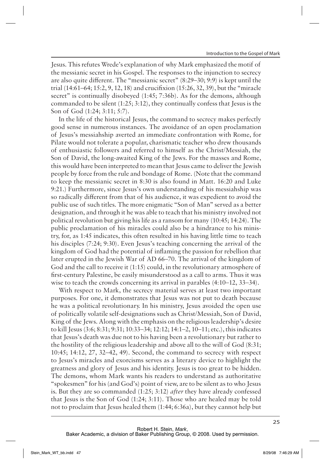Jesus. This refutes Wrede's explanation of why Mark emphasized the motif of the messianic secret in his Gospel. The responses to the injunction to secrecy are also quite different. The "messianic secret" (8:29–30; 9:9) is kept until the trial (14:61–64; 15:2, 9, 12, 18) and crucifixion (15:26, 32, 39), but the "miracle secret" is continually disobeyed (1:45; 7:36b). As for the demons, although commanded to be silent (1:25; 3:12), they continually confess that Jesus is the Son of God (1:24; 3:11; 5:7).

In the life of the historical Jesus, the command to secrecy makes perfectly good sense in numerous instances. The avoidance of an open proclamation of Jesus's messiahship averted an immediate confrontation with Rome, for Pilate would not tolerate a popular, charismatic teacher who drew thousands of enthusiastic followers and referred to himself as the Christ/Messiah, the Son of David, the long-awaited King of the Jews. For the masses and Rome, this would have been interpreted to mean that Jesus came to deliver the Jewish people by force from the rule and bondage of Rome. (Note that the command to keep the messianic secret in 8:30 is also found in Matt. 16:20 and Luke 9:21.) Furthermore, since Jesus's own understanding of his messiahship was so radically different from that of his audience, it was expedient to avoid the public use of such titles. The more enigmatic "Son of Man" served as a better designation, and through it he was able to teach that his ministry involved not political revolution but giving his life as a ransom for many (10:45; 14:24). The public proclamation of his miracles could also be a hindrance to his ministry, for, as 1:45 indicates, this often resulted in his having little time to teach his disciples (7:24; 9:30). Even Jesus's teaching concerning the arrival of the kingdom of God had the potential of inflaming the passion for rebellion that later erupted in the Jewish War of AD 66–70. The arrival of the kingdom of God and the call to receive it (1:15) could, in the revolutionary atmosphere of first-century Palestine, be easily misunderstood as a call to arms. Thus it was wise to teach the crowds concerning its arrival in parables (4:10–12, 33–34).

With respect to Mark, the secrecy material serves at least two important purposes. For one, it demonstrates that Jesus was not put to death because he was a political revolutionary. In his ministry, Jesus avoided the open use of politically volatile self-designations such as Christ/Messiah, Son of David, King of the Jews. Along with the emphasis on the religious leadership's desire to kill Jesus (3:6; 8:31; 9:31; 10:33–34; 12:12; 14:1–2, 10–11; etc.), this indicates that Jesus's death was due not to his having been a revolutionary but rather to the hostility of the religious leadership and above all to the will of God (8:31; 10:45; 14:12, 27, 32–42, 49). Second, the command to secrecy with respect to Jesus's miracles and exorcisms serves as a literary device to highlight the greatness and glory of Jesus and his identity. Jesus is too great to be hidden. The demons, whom Mark wants his readers to understand as authoritative "spokesmen" for his (and God's) point of view, are to be silent as to who Jesus is. But they are so commanded (1:25; 3:12) *after* they have already confessed that Jesus is the Son of God (1:24; 3:11). Those who are healed may be told not to proclaim that Jesus healed them (1:44; 6:36a), but they cannot help but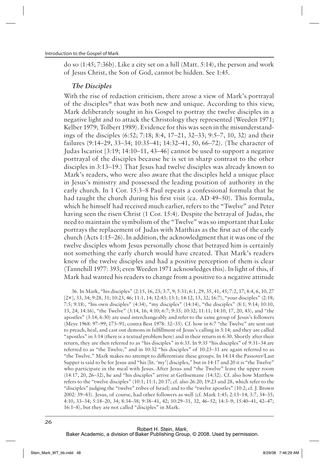do so (1:45; 7:36b). Like a city set on a hill (Matt. 5:14), the person and work of Jesus Christ, the Son of God, cannot be hidden. See 1:45.

#### *The Disciples*

With the rise of redaction criticism, there arose a view of Mark's portrayal of the disciples<sup>36</sup> that was both new and unique. According to this view, Mark deliberately sought in his Gospel to portray the twelve disciples in a negative light and to attack the Christology they represented (Weeden 1971; Kelber 1979; Tolbert 1989). Evidence for this was seen in the misunderstandings of the disciples (6:52; 7:18; 8:4, 17–21, 32–33; 9:5–7, 10, 32) and their failures (9:14–29, 33–34; 10:35–41; 14:32–41, 50, 66–72). (The character of Judas Iscariot [3:19; 14:10–11, 43–46] cannot be used to support a negative portrayal of the disciples because he is set in sharp contrast to the other disciples in 3:13–19.) That Jesus had twelve disciples was already known to Mark's readers, who were also aware that the disciples held a unique place in Jesus's ministry and possessed the leading position of authority in the early church. In 1 Cor. 15:3–8 Paul repeats a confessional formula that he had taught the church during his first visit (ca. AD 49–50). This formula, which he himself had received much earlier, refers to the "Twelve" and Peter having seen the risen Christ (1 Cor. 15:4). Despite the betrayal of Judas, the need to maintain the symbolism of the "Twelve" was so important that Luke portrays the replacement of Judas with Matthias as the first act of the early church (Acts 1:15–26). In addition, the acknowledgment that it was one of the twelve disciples whom Jesus personally chose that betrayed him is certainly not something the early church would have created. That Mark's readers knew of the twelve disciples and had a positive perception of them is clear (Tannehill 1977: 393; even Weeden 1971 acknowledges this). In light of this, if Mark had wanted his readers to change from a positive to a negative attitude

36. In Mark, "his disciples" (2:15, 16, 23; 3:7, 9; 5:31; 6:1, 29, 35, 41, 45; 7:2, 17; 8:4, 6, 10, 27 [2×], 33, 34; 9:28, 31; 10:23, 46; 11:1, 14; 12:43; 13:1; 14:12, 13, 32; 16:7), "your disciples" (2:18; 7:5; 9:18), "his own disciples" (4:34), "my disciples" (14:14), "the disciples" (8:1; 9:14; 10:10, 13, 24; 14:16), "the Twelve" (3:14, 16; 4:10; 6:7; 9:35; 10:32; 11:11; 14:10, 17, 20, 43), and "the apostles" (3:14; 6:30) are used interchangeably and refer to the same group of Jesus's followers (Meye 1968: 97–99; 173–91; contra Best 1978: 32–35). Cf. how in 6:7 "the Twelve" are sent out to preach, heal, and cast out demons in fulfillment of Jesus's calling in 3:14; and they are called "apostles" in 3:14 (there is a textual problem here) and in their return in 6:30. Shortly after their return, they are then referred to as "his disciples" in 6:35. In 9:35 "his disciples" of 9:31–34 are referred to as "the Twelve," and in 10:32 "his disciples" of 10:23–31 are again referred to as "the Twelve." Mark makes no attempt to differentiate these groups. In 14:14 the Passover/Last Supper is said to be for Jesus and "his [lit. 'my'] disciples," but in 14:17 and 20 it is "the Twelve" who participate in the meal with Jesus. After Jesus and "the Twelve" leave the upper room (14:17, 20, 26–32), he and "his disciples" arrive at Gethsemane (14:32). Cf. also how Matthew refers to the "twelve disciples" (10:1; 11:1; 20:17; cf. also 26:20; 19:23 and 28, which refer to the "disciples" judging the "twelve" tribes of Israel) and to the "twelve apostles" (10:2; cf. J. Brown 2002: 39–43). Jesus, of course, had other followers as well (cf. Mark 1:45; 2:13–14; 3:7, 34–35; 4:10, 33–34; 5:18–20, 34; 8:34–38; 9:38–41, 42; 10:29–31, 32, 46–52; 14:3–9; 15:40–41, 42–47; 16:1–8), but they are not called "disciples" in Mark.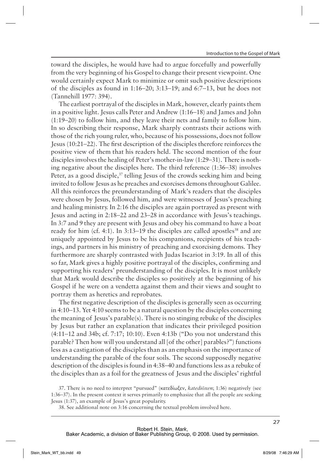toward the disciples, he would have had to argue forcefully and powerfully from the very beginning of his Gospel to change their present viewpoint. One would certainly expect Mark to minimize or omit such positive descriptions of the disciples as found in 1:16–20; 3:13–19; and 6:7–13, but he does not (Tannehill 1977: 394).

The earliest portrayal of the disciples in Mark, however, clearly paints them in a positive light. Jesus calls Peter and Andrew (1:16–18) and James and John (1:19–20) to follow him, and they leave their nets and family to follow him. In so describing their response, Mark sharply contrasts their actions with those of the rich young ruler, who, because of his possessions, does not follow Jesus (10:21–22). The first description of the disciples therefore reinforces the positive view of them that his readers held. The second mention of the four disciples involves the healing of Peter's mother-in-law (1:29–31). There is nothing negative about the disciples here. The third reference (1:36–38) involves Peter, as a good disciple, $37$  telling Jesus of the crowds seeking him and being invited to follow Jesus as he preaches and exorcises demons throughout Galilee. All this reinforces the preunderstanding of Mark's readers that the disciples were chosen by Jesus, followed him, and were witnesses of Jesus's preaching and healing ministry. In 2:16 the disciples are again portrayed as present with Jesus and acting in 2:18–22 and 23–28 in accordance with Jesus's teachings. In 3:7 and 9 they are present with Jesus and obey his command to have a boat ready for him (cf. 4:1). In 3:13–19 the disciples are called apostles<sup>38</sup> and are uniquely appointed by Jesus to be his companions, recipients of his teachings, and partners in his ministry of preaching and exorcising demons. They furthermore are sharply contrasted with Judas Iscariot in 3:19. In all of this so far, Mark gives a highly positive portrayal of the disciples, confirming and supporting his readers' preunderstanding of the disciples. It is most unlikely that Mark would describe the disciples so positively at the beginning of his Gospel if he were on a vendetta against them and their views and sought to portray them as heretics and reprobates.

The first negative description of the disciples is generally seen as occurring in 4:10–13. Yet 4:10 seems to be a natural question by the disciples concerning the meaning of Jesus's parable(s). There is no stinging rebuke of the disciples by Jesus but rather an explanation that indicates their privileged position (4:11–12 and 34b; cf. 7:17; 10:10). Even 4:13b ("Do you not understand this parable? Then how will you understand all [of the other] parables?") functions less as a castigation of the disciples than as an emphasis on the importance of understanding the parable of the four soils. The second supposedly negative description of the disciples is found in 4:38–40 and functions less as a rebuke of the disciples than as a foil for the greatness of Jesus and the disciples' rightful

<sup>37.</sup> There is no need to interpret "pursued" (κατεδίωξεν, *katediōxen*; 1:36) negatively (see 1:36–37). In the present context it serves primarily to emphasize that all the people are seeking Jesus (1:37), an example of Jesus's great popularity.

<sup>38.</sup> See additional note on 3:16 concerning the textual problem involved here.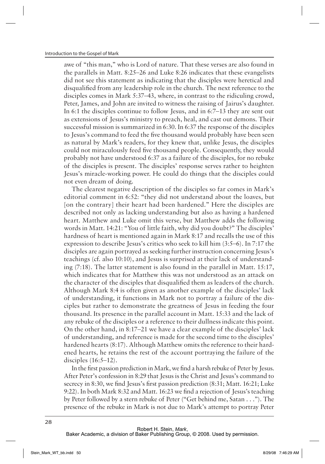awe of "this man," who is Lord of nature. That these verses are also found in the parallels in Matt. 8:25–26 and Luke 8:26 indicates that these evangelists did not see this statement as indicating that the disciples were heretical and disqualified from any leadership role in the church. The next reference to the disciples comes in Mark 5:37–43, where, in contrast to the ridiculing crowd, Peter, James, and John are invited to witness the raising of Jairus's daughter. In 6:1 the disciples continue to follow Jesus, and in 6:7–13 they are sent out as extensions of Jesus's ministry to preach, heal, and cast out demons. Their successful mission is summarized in 6:30. In 6:37 the response of the disciples to Jesus's command to feed the five thousand would probably have been seen as natural by Mark's readers, for they knew that, unlike Jesus, the disciples could not miraculously feed five thousand people. Consequently, they would probably not have understood 6:37 as a failure of the disciples, for no rebuke of the disciples is present. The disciples' response serves rather to heighten Jesus's miracle-working power. He could do things that the disciples could not even dream of doing.

The clearest negative description of the disciples so far comes in Mark's editorial comment in 6:52: "they did not understand about the loaves, but [on the contrary] their heart had been hardened." Here the disciples are described not only as lacking understanding but also as having a hardened heart. Matthew and Luke omit this verse, but Matthew adds the following words in Matt. 14:21: "You of little faith, why did you doubt?" The disciples' hardness of heart is mentioned again in Mark 8:17 and recalls the use of this expression to describe Jesus's critics who seek to kill him (3:5–6). In 7:17 the disciples are again portrayed as seeking further instruction concerning Jesus's teachings (cf. also 10:10), and Jesus is surprised at their lack of understanding (7:18). The latter statement is also found in the parallel in Matt. 15:17, which indicates that for Matthew this was not understood as an attack on the character of the disciples that disqualified them as leaders of the church. Although Mark 8:4 is often given as another example of the disciples' lack of understanding, it functions in Mark not to portray a failure of the disciples but rather to demonstrate the greatness of Jesus in feeding the four thousand. Its presence in the parallel account in Matt. 15:33 and the lack of any rebuke of the disciples or a reference to their dullness indicate this point. On the other hand, in 8:17–21 we have a clear example of the disciples' lack of understanding, and reference is made for the second time to the disciples' hardened hearts (8:17). Although Matthew omits the reference to their hardened hearts, he retains the rest of the account portraying the failure of the disciples (16:5–12).

In the first passion prediction in Mark, we find a harsh rebuke of Peter by Jesus. After Peter's confession in 8:29 that Jesus is the Christ and Jesus's command to secrecy in 8:30, we find Jesus's first passion prediction (8:31; Matt. 16:21; Luke 9:22). In both Mark 8:32 and Matt. 16:23 we find a rejection of Jesus's teaching by Peter followed by a stern rebuke of Peter ("Get behind me, Satan . . ."). The presence of the rebuke in Mark is not due to Mark's attempt to portray Peter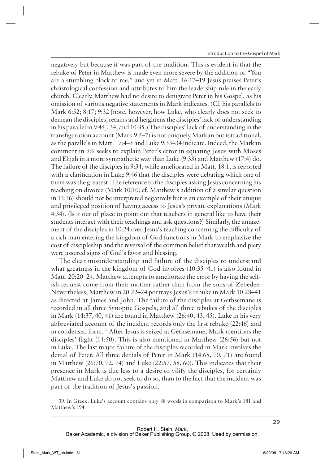negatively but because it was part of the tradition. This is evident in that the rebuke of Peter in Matthew is made even more severe by the addition of "You are a stumbling block to me," and yet in Matt. 16:17–19 Jesus praises Peter's christological confession and attributes to him the leadership role in the early church. Clearly, Matthew had no desire to denigrate Peter in his Gospel, as his omission of various negative statements in Mark indicates. (Cf. his parallels to Mark 6:52; 8:17; 9:32 [note, however, how Luke, who clearly does not seek to demean the disciples, retains and heightens the disciples' lack of understanding in his parallel in 9:45], 34; and 10:35.) The disciples' lack of understanding in the transfiguration account (Mark 9:5–7) is not uniquely Markan but is traditional, as the parallels in Matt. 17:4–5 and Luke 9:33–34 indicate. Indeed, the Markan comment in 9:6 seeks to explain Peter's error in equating Jesus with Moses and Elijah in a more sympathetic way than Luke (9:33) and Matthew (17:4) do. The failure of the disciples in 9:34, while ameliorated in Matt. 18:1, is reported with a clarification in Luke 9:46 that the disciples were debating which one of them was the greatest. The reference to the disciples asking Jesus concerning his teaching on divorce (Mark 10:10; cf. Matthew's addition of a similar question in 13:36) should not be interpreted negatively but is an example of their unique and privileged position of having access to Jesus's private explanations (Mark 4:34). (Is it out of place to point out that teachers in general like to have their students interact with their teachings and ask questions?) Similarly, the amazement of the disciples in 10:24 over Jesus's teaching concerning the difficulty of a rich man entering the kingdom of God functions in Mark to emphasize the cost of discipleship and the reversal of the common belief that wealth and piety were assured signs of God's favor and blessing.

The clear misunderstanding and failure of the disciples to understand what greatness in the kingdom of God involves (10:35–41) is also found in Matt. 20:20–24. Matthew attempts to ameliorate the error by having the selfish request come from their mother rather than from the sons of Zebedee. Nevertheless, Matthew in 20:22–24 portrays Jesus's rebuke in Mark 10:28–41 as directed at James and John. The failure of the disciples at Gethsemane is recorded in all three Synoptic Gospels, and all three rebukes of the disciples in Mark (14:37, 40, 41) are found in Matthew (26:40, 43, 45). Luke in his very abbreviated account of the incident records only the first rebuke (22:46) and in condensed form.39 After Jesus is seized at Gethsemane, Mark mentions the disciples' flight (14:50). This is also mentioned in Matthew (26:56) but not in Luke. The last major failure of the disciples recorded in Mark involves the denial of Peter. All three denials of Peter in Mark (14:68, 70, 71) are found in Matthew (26:70, 72, 74) and Luke (22:57, 58, 60). This indicates that their presence in Mark is due less to a desire to vilify the disciples, for certainly Matthew and Luke do not seek to do so, than to the fact that the incident was part of the tradition of Jesus's passion.

39. In Greek, Luke's account contains only 88 words in comparison to Mark's 181 and Matthew's 194.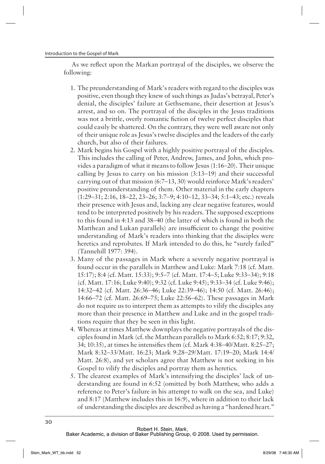As we reflect upon the Markan portrayal of the disciples, we observe the following:

- 1. The preunderstanding of Mark's readers with regard to the disciples was positive, even though they knew of such things as Judas's betrayal, Peter's denial, the disciples' failure at Gethsemane, their desertion at Jesus's arrest, and so on. The portrayal of the disciples in the Jesus traditions was not a brittle, overly romantic fiction of twelve perfect disciples that could easily be shattered. On the contrary, they were well aware not only of their unique role as Jesus's twelve disciples and the leaders of the early church, but also of their failures.
- 2. Mark begins his Gospel with a highly positive portrayal of the disciples. This includes the calling of Peter, Andrew, James, and John, which provides a paradigm of what it means to follow Jesus (1:16–20). Their unique calling by Jesus to carry on his mission (3:13–19) and their successful carrying out of that mission (6:7–13, 30) would reinforce Mark's readers' positive preunderstanding of them. Other material in the early chapters (1:29–31; 2:16, 18–22, 23–26; 3:7–9; 4:10–12, 33–34; 5:1–43; etc.) reveals their presence with Jesus and, lacking any clear negative features, would tend to be interpreted positively by his readers. The supposed exceptions to this found in 4:13 and 38–40 (the latter of which is found in both the Matthean and Lukan parallels) are insufficient to change the positive understanding of Mark's readers into thinking that the disciples were heretics and reprobates. If Mark intended to do this, he "surely failed" (Tannehill 1977: 394).
- 3. Many of the passages in Mark where a severely negative portrayal is found occur in the parallels in Matthew and Luke: Mark 7:18 (cf. Matt. 15:17); 8:4 (cf. Matt. 15:33); 9:5–7 (cf. Matt. 17:4–5; Luke 9:33–34); 9:18 (cf. Matt. 17:16; Luke 9:40); 9:32 (cf. Luke 9:45); 9:33–34 (cf. Luke 9:46); 14:32–42 (cf. Matt. 26:36–46; Luke 22:39–46); 14:50 (cf. Matt. 26:46); 14:66–72 (cf. Matt. 26:69–75; Luke 22:56–62). These passages in Mark do not require us to interpret them as attempts to vilify the disciples any more than their presence in Matthew and Luke and in the gospel traditions require that they be seen in this light.
- 4. Whereas at times Matthew downplays the negative portrayals of the disciples found in Mark (cf. the Matthean parallels to Mark 6:52; 8:17; 9:32, 34; 10:35), at times he intensifies them (cf. Mark 4:38–40/Matt. 8:25–27; Mark 8:32–33/Matt. 16:23; Mark 9:28–29/Matt. 17:19–20; Mark 14:4/ Matt. 26:8), and yet scholars agree that Matthew is not seeking in his Gospel to vilify the disciples and portray them as heretics.
- 5. The clearest examples of Mark's intensifying the disciples' lack of understanding are found in 6:52 (omitted by both Matthew, who adds a reference to Peter's failure in his attempt to walk on the sea, and Luke) and 8:17 (Matthew includes this in 16:9), where in addition to their lack of understanding the disciples are described as having a "hardened heart."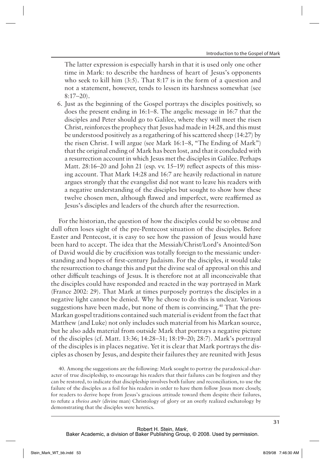The latter expression is especially harsh in that it is used only one other time in Mark: to describe the hardness of heart of Jesus's opponents who seek to kill him (3:5). That 8:17 is in the form of a question and not a statement, however, tends to lessen its harshness somewhat (see  $8:17-20$ ).

6. Just as the beginning of the Gospel portrays the disciples positively, so does the present ending in 16:1–8. The angelic message in 16:7 that the disciples and Peter should go to Galilee, where they will meet the risen Christ, reinforces the prophecy that Jesus had made in 14:28, and this must be understood positively as a regathering of his scattered sheep (14:27) by the risen Christ. I will argue (see Mark 16:1–8, "The Ending of Mark") that the original ending of Mark has been lost, and that it concluded with a resurrection account in which Jesus met the disciples in Galilee. Perhaps Matt. 28:16–20 and John 21 (esp. vv. 15–19) reflect aspects of this missing account. That Mark 14:28 and 16:7 are heavily redactional in nature argues strongly that the evangelist did not want to leave his readers with a negative understanding of the disciples but sought to show how these twelve chosen men, although flawed and imperfect, were reaffirmed as Jesus's disciples and leaders of the church after the resurrection.

For the historian, the question of how the disciples could be so obtuse and dull often loses sight of the pre-Pentecost situation of the disciples. Before Easter and Pentecost, it is easy to see how the passion of Jesus would have been hard to accept. The idea that the Messiah/Christ/Lord's Anointed/Son of David would die by crucifixion was totally foreign to the messianic understanding and hopes of first-century Judaism. For the disciples, it would take the resurrection to change this and put the divine seal of approval on this and other difficult teachings of Jesus. It is therefore not at all inconceivable that the disciples could have responded and reacted in the way portrayed in Mark (France 2002: 29). That Mark at times purposely portrays the disciples in a negative light cannot be denied. Why he chose to do this is unclear. Various suggestions have been made, but none of them is convincing.<sup>40</sup> That the pre-Markan gospel traditions contained such material is evident from the fact that Matthew (and Luke) not only includes such material from his Markan source, but he also adds material from outside Mark that portrays a negative picture of the disciples (cf. Matt. 13:36; 14:28–31; 18:19–20; 28:7). Mark's portrayal of the disciples is in places negative. Yet it is clear that Mark portrays the disciples as chosen by Jesus, and despite their failures they are reunited with Jesus

40. Among the suggestions are the following: Mark sought to portray the paradoxical character of true discipleship, to encourage his readers that their failures can be forgiven and they can be restored, to indicate that discipleship involves both failure and reconciliation, to use the failure of the disciples as a foil for his readers in order to have them follow Jesus more closely, for readers to derive hope from Jesus's gracious attitude toward them despite their failures, to refute a *theios anēr* (divine man) Christology of glory or an overly realized eschatology by demonstrating that the disciples were heretics.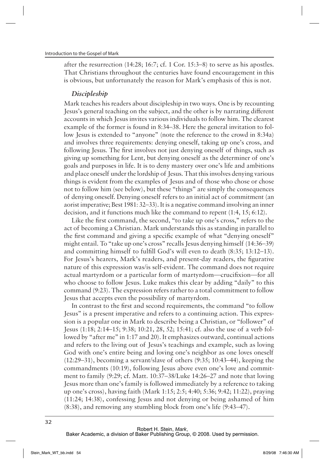after the resurrection (14:28; 16:7; cf. 1 Cor. 15:3–8) to serve as his apostles. That Christians throughout the centuries have found encouragement in this is obvious, but unfortunately the reason for Mark's emphasis of this is not.

#### *Discipleship*

Mark teaches his readers about discipleship in two ways. One is by recounting Jesus's general teaching on the subject, and the other is by narrating different accounts in which Jesus invites various individuals to follow him. The clearest example of the former is found in 8:34–38. Here the general invitation to follow Jesus is extended to "anyone" (note the reference to the crowd in 8:34a) and involves three requirements: denying oneself, taking up one's cross, and following Jesus. The first involves not just denying oneself of things, such as giving up something for Lent, but denying oneself as the determiner of one's goals and purposes in life. It is to deny mastery over one's life and ambitions and place oneself under the lordship of Jesus. That this involves denying various things is evident from the examples of Jesus and of those who chose or chose not to follow him (see below), but these "things" are simply the consequences of denying oneself. Denying oneself refers to an initial act of commitment (an aorist imperative; Best 1981: 32–33). It is a negative command involving an inner decision, and it functions much like the command to repent (1:4, 15; 6:12).

Like the first command, the second, "to take up one's cross," refers to the act of becoming a Christian. Mark understands this as standing in parallel to the first command and giving a specific example of what "denying oneself" might entail. To "take up one's cross" recalls Jesus denying himself (14:36–39) and committing himself to fulfill God's will even to death (8:35; 13:12–13). For Jesus's hearers, Mark's readers, and present-day readers, the figurative nature of this expression was/is self-evident. The command does not require actual martyrdom or a particular form of martyrdom—crucifixion—for all who choose to follow Jesus. Luke makes this clear by adding "daily" to this command (9:23). The expression refers rather to a total commitment to follow Jesus that accepts even the possibility of martyrdom.

In contrast to the first and second requirements, the command "to follow Jesus" is a present imperative and refers to a continuing action. This expression is a popular one in Mark to describe being a Christian, or "follower" of Jesus (1:18; 2:14–15; 9:38; 10:21, 28, 52; 15:41; cf. also the use of a verb followed by "after me" in 1:17 and 20). It emphasizes outward, continual actions and refers to the living out of Jesus's teachings and example, such as loving God with one's entire being and loving one's neighbor as one loves oneself (12:29–31), becoming a servant/slave of others (9:35; 10:43–44), keeping the commandments (10:19), following Jesus above even one's love and commitment to family (9:29; cf. Matt. 10:37–38/Luke 14:26–27 and note that loving Jesus more than one's family is followed immediately by a reference to taking up one's cross), having faith (Mark 1:15; 2:5; 4:40; 5:36; 9:42; 11:22), praying (11:24; 14:38), confessing Jesus and not denying or being ashamed of him (8:38), and removing any stumbling block from one's life (9:43–47).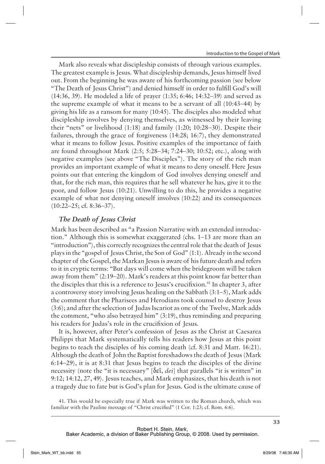Mark also reveals what discipleship consists of through various examples. The greatest example is Jesus. What discipleship demands, Jesus himself lived out. From the beginning he was aware of his forthcoming passion (see below "The Death of Jesus Christ") and denied himself in order to fulfill God's will (14:36, 39). He modeled a life of prayer (1:35; 6:46; 14:32–39) and served as the supreme example of what it means to be a servant of all (10:43–44) by giving his life as a ransom for many (10:45). The disciples also modeled what discipleship involves by denying themselves, as witnessed by their leaving their "nets" or livelihood (1:18) and family (1:20; 10:28–30). Despite their failures, through the grace of forgiveness (14:28; 16:7), they demonstrated what it means to follow Jesus. Positive examples of the importance of faith are found throughout Mark (2:5; 5:28–34; 7:24–30; 10:52; etc.), along with negative examples (see above "The Disciples"). The story of the rich man provides an important example of what it means to deny oneself. Here Jesus points out that entering the kingdom of God involves denying oneself and that, for the rich man, this requires that he sell whatever he has, give it to the poor, and follow Jesus (10:21). Unwilling to do this, he provides a negative example of what not denying oneself involves (10:22) and its consequences (10:22–25; cf. 8:36–37).

#### *The Death of Jesus Christ*

Mark has been described as "a Passion Narrative with an extended introduction." Although this is somewhat exaggerated (chs. 1–13 are more than an "introduction"), this correctly recognizes the central role that the death of Jesus plays in the "gospel of Jesus Christ, the Son of God" (1:1). Already in the second chapter of the Gospel, the Markan Jesus is aware of his future death and refers to it in cryptic terms: "But days will come when the bridegroom will be taken away from them" (2:19–20). Mark's readers at this point know far better than the disciples that this is a reference to Jesus's crucifixion.<sup>41</sup> In chapter 3, after a controversy story involving Jesus healing on the Sabbath (3:1–5), Mark adds the comment that the Pharisees and Herodians took counsel to destroy Jesus (3:6); and after the selection of Judas Iscariot as one of the Twelve, Mark adds the comment, "who also betrayed him" (3:19), thus reminding and preparing his readers for Judas's role in the crucifixion of Jesus.

It is, however, after Peter's confession of Jesus as the Christ at Caesarea Philippi that Mark systematically tells his readers how Jesus at this point begins to teach the disciples of his coming death (cf. 8:31 and Matt. 16:21). Although the death of John the Baptist foreshadows the death of Jesus (Mark 6:14–29), it is at 8:31 that Jesus begins to teach the disciples of the divine necessity (note the "it is necessary" [δεῖ, *dei*] that parallels "it is written" in 9:12; 14:12, 27, 49). Jesus teaches, and Mark emphasizes, that his death is not a tragedy due to fate but is God's plan for Jesus. God is the ultimate cause of

41. This would be especially true if Mark was written to the Roman church, which was familiar with the Pauline message of "Christ crucified" (1 Cor. 1:23; cf. Rom. 6:6).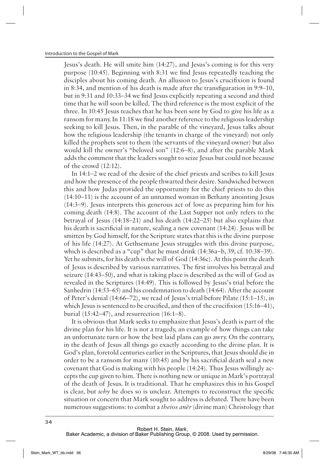Jesus's death. He will smite him (14:27), and Jesus's coming is for this very purpose (10:45). Beginning with 8:31 we find Jesus repeatedly teaching the disciples about his coming death. An allusion to Jesus's crucifixion is found in 8:34, and mention of his death is made after the transfiguration in 9:9–10, but in 9:31 and 10:33–34 we find Jesus explicitly repeating a second and third time that he will soon be killed. The third reference is the most explicit of the three. In 10:45 Jesus teaches that he has been sent by God to give his life as a ransom for many. In 11:18 we find another reference to the religious leadership seeking to kill Jesus. Then, in the parable of the vineyard, Jesus talks about how the religious leadership (the tenants in charge of the vineyard) not only killed the prophets sent to them (the servants of the vineyard owner) but also would kill the owner's "beloved son" (12:6–8), and after the parable Mark adds the comment that the leaders sought to seize Jesus but could not because of the crowd (12:12).

In 14:1–2 we read of the desire of the chief priests and scribes to kill Jesus and how the presence of the people thwarted their desire. Sandwiched between this and how Judas provided the opportunity for the chief priests to do this (14:10–11) is the account of an unnamed woman in Bethany anointing Jesus  $(14:3-9)$ . Jesus interprets this generous act of love as preparing him for his coming death (14:8). The account of the Last Supper not only refers to the betrayal of Jesus (14:18–21) and his death (14:22–25) but also explains that his death is sacrificial in nature, sealing a new covenant (14:24). Jesus will be smitten by God himself, for the Scripture states that this is the divine purpose of his life (14:27). At Gethsemane Jesus struggles with this divine purpose, which is described as a "cup" that he must drink (14:36a–b, 39; cf. 10:38–39). Yet he submits, for his death is the will of God (14:36c). At this point the death of Jesus is described by various narratives. The first involves his betrayal and seizure (14:43–50), and what is taking place is described as the will of God as revealed in the Scriptures (14:49). This is followed by Jesus's trial before the Sanhedrin (14:53–65) and his condemnation to death (14:64). After the account of Peter's denial (14:66–72), we read of Jesus's trial before Pilate (15:1–15), in which Jesus is sentenced to be crucified, and then of the crucifixion (15:16–41), burial (15:42–47), and resurrection (16:1–8).

It is obvious that Mark seeks to emphasize that Jesus's death is part of the divine plan for his life. It is not a tragedy, an example of how things can take an unfortunate turn or how the best laid plans can go awry. On the contrary, in the death of Jesus all things go exactly according to the divine plan. It is God's plan, foretold centuries earlier in the Scriptures, that Jesus should die in order to be a ransom for many (10:45) and by his sacrificial death seal a new covenant that God is making with his people (14:24). Thus Jesus willingly accepts the cup given to him. There is nothing new or unique in Mark's portrayal of the death of Jesus. It is traditional. That he emphasizes this in his Gospel is clear, but *why* he does so is unclear. Attempts to reconstruct the specific situation or concern that Mark sought to address is debated. There have been numerous suggestions: to combat a *theios anēr* (divine man) Christology that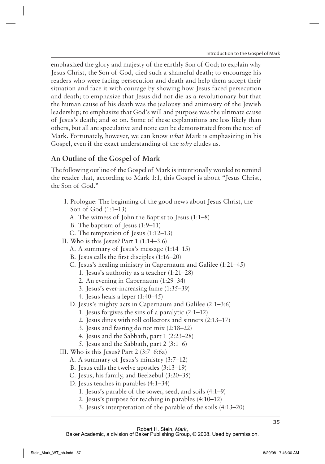emphasized the glory and majesty of the earthly Son of God; to explain why Jesus Christ, the Son of God, died such a shameful death; to encourage his readers who were facing persecution and death and help them accept their situation and face it with courage by showing how Jesus faced persecution and death; to emphasize that Jesus did not die as a revolutionary but that the human cause of his death was the jealousy and animosity of the Jewish leadership; to emphasize that God's will and purpose was the ultimate cause of Jesus's death; and so on. Some of these explanations are less likely than others, but all are speculative and none can be demonstrated from the text of Mark. Fortunately, however, we can know *what* Mark is emphasizing in his Gospel, even if the exact understanding of the *why* eludes us.

## **An Outline of the Gospel of Mark**

The following outline of the Gospel of Mark is intentionally worded to remind the reader that, according to Mark 1:1, this Gospel is about "Jesus Christ, the Son of God."

- I. Prologue: The beginning of the good news about Jesus Christ, the Son of God (1:1–13)
	- A. The witness of John the Baptist to Jesus (1:1–8)
	- B. The baptism of Jesus (1:9–11)
	- C. The temptation of Jesus (1:12–13)
- II. Who is this Jesus? Part  $1(1:14-3:6)$ 
	- A. A summary of Jesus's message (1:14–15)
	- B. Jesus calls the first disciples (1:16–20)
	- C. Jesus's healing ministry in Capernaum and Galilee (1:21–45)
		- 1. Jesus's authority as a teacher (1:21–28)
		- 2. An evening in Capernaum (1:29–34)
		- 3. Jesus's ever-increasing fame (1:35–39)
		- 4. Jesus heals a leper (1:40–45)
	- D. Jesus's mighty acts in Capernaum and Galilee (2:1–3:6)
		- 1. Jesus forgives the sins of a paralytic (2:1–12)
		- 2. Jesus dines with toll collectors and sinners (2:13–17)
		- 3. Jesus and fasting do not mix (2:18–22)
		- 4. Jesus and the Sabbath, part 1 (2:23–28)
		- 5. Jesus and the Sabbath, part 2 (3:1–6)
- III. Who is this Jesus? Part 2 (3:7–6:6a)
	- A. A summary of Jesus's ministry (3:7–12)
	- B. Jesus calls the twelve apostles (3:13–19)
	- C. Jesus, his family, and Beelzebul (3:20–35)
	- D. Jesus teaches in parables (4:1–34)
		- 1. Jesus's parable of the sower, seed, and soils (4:1–9)
		- 2. Jesus's purpose for teaching in parables (4:10–12)
		- 3. Jesus's interpretation of the parable of the soils (4:13–20)

Robert H. Stein, *Mark*,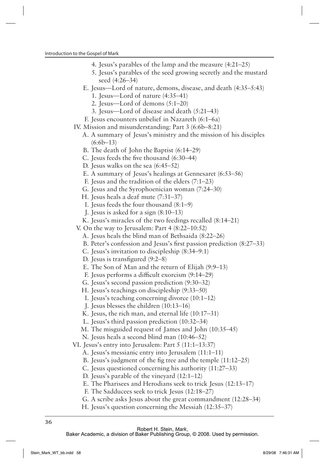- 4. Jesus's parables of the lamp and the measure (4:21–25)
- 5. Jesus's parables of the seed growing secretly and the mustard seed (4:26–34)
- E. Jesus—Lord of nature, demons, disease, and death (4:35–5:43)
	- 1. Jesus—Lord of nature (4:35–41)
	- 2. Jesus—Lord of demons (5:1–20)
	- 3. Jesus—Lord of disease and death (5:21–43)
- F. Jesus encounters unbelief in Nazareth (6:1–6a)
- IV. Mission and misunderstanding: Part 3 (6:6b–8:21)
	- A. A summary of Jesus's ministry and the mission of his disciples  $(6:6b-13)$
	- B. The death of John the Baptist (6:14–29)
	- C. Jesus feeds the five thousand (6:30–44)
	- D. Jesus walks on the sea (6:45–52)
	- E. A summary of Jesus's healings at Gennesaret (6:53–56)
	- F. Jesus and the tradition of the elders (7:1–23)
	- G. Jesus and the Syrophoenician woman (7:24–30)
	- H. Jesus heals a deaf mute (7:31–37)
	- I. Jesus feeds the four thousand (8:1–9)
	- J. Jesus is asked for a sign (8:10–13)
	- K. Jesus's miracles of the two feedings recalled (8:14–21)
- V. On the way to Jerusalem: Part 4 (8:22–10:52)
	- A. Jesus heals the blind man of Bethsaida (8:22–26)
	- B. Peter's confession and Jesus's first passion prediction (8:27–33)
	- C. Jesus's invitation to discipleship (8:34–9:1)
	- D. Jesus is transfigured (9:2–8)
	- E. The Son of Man and the return of Elijah (9:9–13)
	- F. Jesus performs a difficult exorcism (9:14–29)
	- G. Jesus's second passion prediction (9:30–32)
	- H. Jesus's teachings on discipleship (9:33–50)
	- I. Jesus's teaching concerning divorce (10:1–12)
	- J. Jesus blesses the children (10:13–16)
	- K. Jesus, the rich man, and eternal life (10:17–31)
	- L. Jesus's third passion prediction (10:32–34)
	- M. The misguided request of James and John (10:35–45)
	- N. Jesus heals a second blind man (10:46–52)
- VI. Jesus's entry into Jerusalem: Part 5 (11:1–13:37)
	- A. Jesus's messianic entry into Jerusalem (11:1–11)
	- B. Jesus's judgment of the fig tree and the temple (11:12–25)
	- C. Jesus questioned concerning his authority (11:27–33)
	- D. Jesus's parable of the vineyard (12:1–12)
	- E. The Pharisees and Herodians seek to trick Jesus (12:13–17)
	- F. The Sadducees seek to trick Jesus (12:18–27)
	- G. A scribe asks Jesus about the great commandment (12:28–34)
	- H. Jesus's question concerning the Messiah (12:35–37)